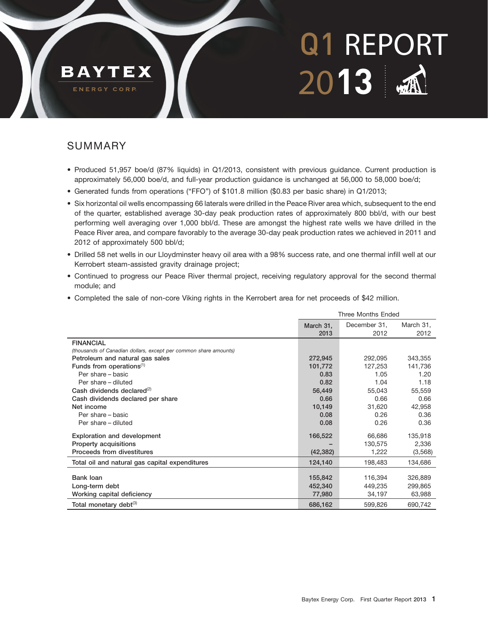# Q1 REPORT 20**13**

9MAY2013133933

# SUMMARY

ENERGY CORP.

BAYTEX

- Produced 51,957 boe/d (87% liquids) in Q1/2013, consistent with previous guidance. Current production is approximately 56,000 boe/d, and full-year production guidance is unchanged at 56,000 to 58,000 boe/d;
- Generated funds from operations ("FFO") of \$101.8 million (\$0.83 per basic share) in Q1/2013;
- Six horizontal oil wells encompassing 66 laterals were drilled in the Peace River area which, subsequent to the end of the quarter, established average 30-day peak production rates of approximately 800 bbl/d, with our best performing well averaging over 1,000 bbl/d. These are amongst the highest rate wells we have drilled in the Peace River area, and compare favorably to the average 30-day peak production rates we achieved in 2011 and 2012 of approximately 500 bbl/d;
- Drilled 58 net wells in our Lloydminster heavy oil area with a 98% success rate, and one thermal infill well at our Kerrobert steam-assisted gravity drainage project;
- Continued to progress our Peace River thermal project, receiving regulatory approval for the second thermal module; and
- Completed the sale of non-core Viking rights in the Kerrobert area for net proceeds of \$42 million.

|                                                                  | Three Months Ended |              |           |  |  |  |  |
|------------------------------------------------------------------|--------------------|--------------|-----------|--|--|--|--|
|                                                                  | March 31,          | December 31, | March 31, |  |  |  |  |
|                                                                  | 2013               | 2012         | 2012      |  |  |  |  |
| <b>FINANCIAL</b>                                                 |                    |              |           |  |  |  |  |
| (thousands of Canadian dollars, except per common share amounts) |                    |              |           |  |  |  |  |
| Petroleum and natural gas sales                                  | 272,945            | 292,095      | 343,355   |  |  |  |  |
| Funds from operations $(1)$                                      | 101,772            | 127,253      | 141,736   |  |  |  |  |
| Per share - basic                                                | 0.83               | 1.05         | 1.20      |  |  |  |  |
| Per share – diluted                                              | 0.82               | 1.04         | 1.18      |  |  |  |  |
| Cash dividends declared $(2)$                                    | 56,449             | 55.043       | 55,559    |  |  |  |  |
| Cash dividends declared per share                                | 0.66               | 0.66         | 0.66      |  |  |  |  |
| Net income                                                       | 10,149             | 31,620       | 42,958    |  |  |  |  |
| Per share – basic                                                | 0.08               | 0.26         | 0.36      |  |  |  |  |
| Per share – diluted                                              | 0.08               | 0.26         | 0.36      |  |  |  |  |
| <b>Exploration and development</b>                               | 166,522            | 66,686       | 135,918   |  |  |  |  |
| <b>Property acquisitions</b>                                     |                    | 130,575      | 2,336     |  |  |  |  |
| Proceeds from divestitures                                       | (42, 382)          | 1,222        | (3,568)   |  |  |  |  |
| Total oil and natural gas capital expenditures                   | 124,140            | 198,483      | 134,686   |  |  |  |  |
|                                                                  |                    |              |           |  |  |  |  |
| Bank loan                                                        | 155,842            | 116,394      | 326,889   |  |  |  |  |
| Long-term debt                                                   | 452,340            | 449,235      | 299,865   |  |  |  |  |
| Working capital deficiency                                       | 77,980             | 34,197       | 63,988    |  |  |  |  |
| Total monetary debt <sup>(3)</sup>                               | 686,162            | 599,826      | 690,742   |  |  |  |  |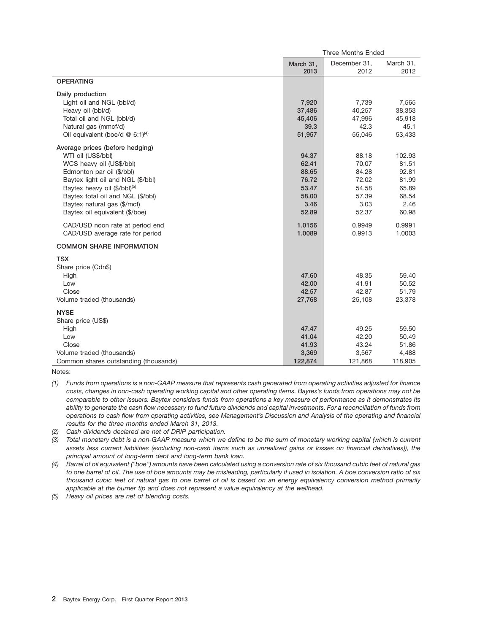|                                               | <b>Three Months Ended</b> |                      |                   |  |  |  |
|-----------------------------------------------|---------------------------|----------------------|-------------------|--|--|--|
|                                               | March 31,<br>2013         | December 31.<br>2012 | March 31,<br>2012 |  |  |  |
| <b>OPERATING</b>                              |                           |                      |                   |  |  |  |
| Daily production                              |                           |                      |                   |  |  |  |
| Light oil and NGL (bbl/d)                     | 7,920                     | 7,739                | 7,565             |  |  |  |
| Heavy oil (bbl/d)                             | 37,486                    | 40,257               | 38,353            |  |  |  |
| Total oil and NGL (bbl/d)                     | 45,406                    | 47,996               | 45,918            |  |  |  |
| Natural gas (mmcf/d)                          | 39.3                      | 42.3                 | 45.1              |  |  |  |
| Oil equivalent (boe/d $@$ 6:1) <sup>(4)</sup> | 51,957                    | 55,046               | 53,433            |  |  |  |
| Average prices (before hedging)               |                           |                      |                   |  |  |  |
| WTI oil (US\$/bbl)                            | 94.37                     | 88.18                | 102.93            |  |  |  |
| WCS heavy oil (US\$/bbl)                      | 62.41                     | 70.07                | 81.51             |  |  |  |
| Edmonton par oil (\$/bbl)                     | 88.65                     | 84.28                | 92.81             |  |  |  |
| Baytex light oil and NGL (\$/bbl)             | 76.72                     | 72.02                | 81.99             |  |  |  |
| Baytex heavy oil (\$/bbl) <sup>(5)</sup>      | 53.47                     | 54.58                | 65.89             |  |  |  |
| Baytex total oil and NGL (\$/bbl)             | 58.00                     | 57.39                | 68.54             |  |  |  |
| Baytex natural gas (\$/mcf)                   | 3.46                      | 3.03                 | 2.46              |  |  |  |
| Baytex oil equivalent (\$/boe)                | 52.89                     | 52.37                | 60.98             |  |  |  |
| CAD/USD noon rate at period end               | 1.0156                    | 0.9949               | 0.9991            |  |  |  |
| CAD/USD average rate for period               | 1.0089                    | 0.9913               | 1.0003            |  |  |  |
| <b>COMMON SHARE INFORMATION</b>               |                           |                      |                   |  |  |  |
| <b>TSX</b>                                    |                           |                      |                   |  |  |  |
| Share price (Cdn\$)                           |                           |                      |                   |  |  |  |
| High                                          | 47.60                     | 48.35                | 59.40             |  |  |  |
| Low                                           | 42.00                     | 41.91                | 50.52             |  |  |  |
| Close                                         | 42.57                     | 42.87                | 51.79             |  |  |  |
| Volume traded (thousands)                     | 27,768                    | 25,108               | 23,378            |  |  |  |
| <b>NYSE</b>                                   |                           |                      |                   |  |  |  |
| Share price (US\$)                            |                           |                      |                   |  |  |  |
| High                                          | 47.47                     | 49.25                | 59.50             |  |  |  |
| Low                                           | 41.04                     | 42.20                | 50.49             |  |  |  |
| Close                                         | 41.93                     | 43.24                | 51.86             |  |  |  |
| Volume traded (thousands)                     | 3,369                     | 3,567                | 4,488             |  |  |  |
| Common shares outstanding (thousands)         | 122,874                   | 121,868              | 118,905           |  |  |  |

Notes:

*(5) Heavy oil prices are net of blending costs.*

*<sup>(1)</sup> Funds from operations is a non-GAAP measure that represents cash generated from operating activities adjusted for finance costs, changes in non-cash operating working capital and other operating items. Baytex's funds from operations may not be comparable to other issuers. Baytex considers funds from operations a key measure of performance as it demonstrates its ability to generate the cash flow necessary to fund future dividends and capital investments. For a reconciliation of funds from operations to cash flow from operating activities, see Management's Discussion and Analysis of the operating and financial results for the three months ended March 31, 2013.*

*<sup>(2)</sup> Cash dividends declared are net of DRIP participation.*

*<sup>(3)</sup> Total monetary debt is a non-GAAP measure which we define to be the sum of monetary working capital (which is current assets less current liabilities (excluding non-cash items such as unrealized gains or losses on financial derivatives)), the principal amount of long-term debt and long-term bank loan.*

*<sup>(4)</sup> Barrel of oil equivalent (''boe'') amounts have been calculated using a conversion rate of six thousand cubic feet of natural gas to one barrel of oil. The use of boe amounts may be misleading, particularly if used in isolation. A boe conversion ratio of six thousand cubic feet of natural gas to one barrel of oil is based on an energy equivalency conversion method primarily applicable at the burner tip and does not represent a value equivalency at the wellhead.*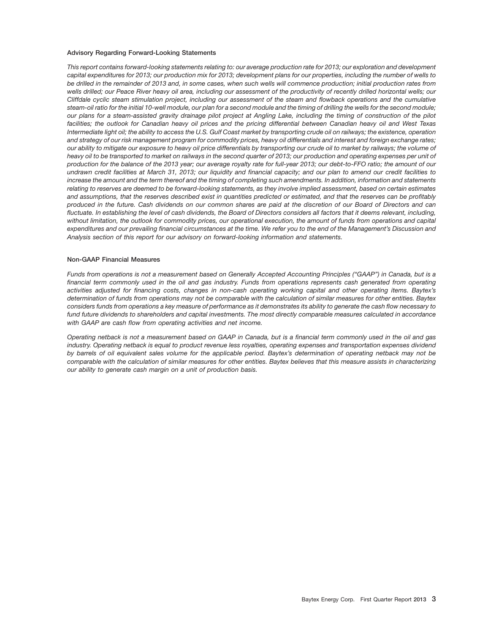#### **Advisory Regarding Forward-Looking Statements**

*This report contains forward-looking statements relating to: our average production rate for 2013; our exploration and development capital expenditures for 2013; our production mix for 2013; development plans for our properties, including the number of wells to be drilled in the remainder of 2013 and, in some cases, when such wells will commence production; initial production rates from wells drilled; our Peace River heavy oil area, including our assessment of the productivity of recently drilled horizontal wells; our Cliffdale cyclic steam stimulation project, including our assessment of the steam and flowback operations and the cumulative steam-oil ratio for the initial 10-well module, our plan for a second module and the timing of drilling the wells for the second module; our plans for a steam-assisted gravity drainage pilot project at Angling Lake, including the timing of construction of the pilot facilities; the outlook for Canadian heavy oil prices and the pricing differential between Canadian heavy oil and West Texas Intermediate light oil; the ability to access the U.S. Gulf Coast market by transporting crude oil on railways; the existence, operation and strategy of our risk management program for commodity prices, heavy oil differentials and interest and foreign exchange rates; our ability to mitigate our exposure to heavy oil price differentials by transporting our crude oil to market by railways; the volume of heavy oil to be transported to market on railways in the second quarter of 2013; our production and operating expenses per unit of production for the balance of the 2013 year; our average royalty rate for full-year 2013; our debt-to-FFO ratio; the amount of our undrawn credit facilities at March 31, 2013; our liquidity and financial capacity; and our plan to amend our credit facilities to increase the amount and the term thereof and the timing of completing such amendments. In addition, information and statements relating to reserves are deemed to be forward-looking statements, as they involve implied assessment, based on certain estimates and assumptions, that the reserves described exist in quantities predicted or estimated, and that the reserves can be profitably produced in the future. Cash dividends on our common shares are paid at the discretion of our Board of Directors and can fluctuate. In establishing the level of cash dividends, the Board of Directors considers all factors that it deems relevant, including, without limitation, the outlook for commodity prices, our operational execution, the amount of funds from operations and capital expenditures and our prevailing financial circumstances at the time. We refer you to the end of the Management's Discussion and Analysis section of this report for our advisory on forward-looking information and statements.*

#### **Non-GAAP Financial Measures**

*Funds from operations is not a measurement based on Generally Accepted Accounting Principles (''GAAP'') in Canada, but is a financial term commonly used in the oil and gas industry. Funds from operations represents cash generated from operating activities adjusted for financing costs, changes in non-cash operating working capital and other operating items. Baytex's determination of funds from operations may not be comparable with the calculation of similar measures for other entities. Baytex considers funds from operations a key measure of performance as it demonstrates its ability to generate the cash flow necessary to fund future dividends to shareholders and capital investments. The most directly comparable measures calculated in accordance with GAAP are cash flow from operating activities and net income.*

*Operating netback is not a measurement based on GAAP in Canada, but is a financial term commonly used in the oil and gas industry. Operating netback is equal to product revenue less royalties, operating expenses and transportation expenses dividend by barrels of oil equivalent sales volume for the applicable period. Baytex's determination of operating netback may not be comparable with the calculation of similar measures for other entities. Baytex believes that this measure assists in characterizing our ability to generate cash margin on a unit of production basis.*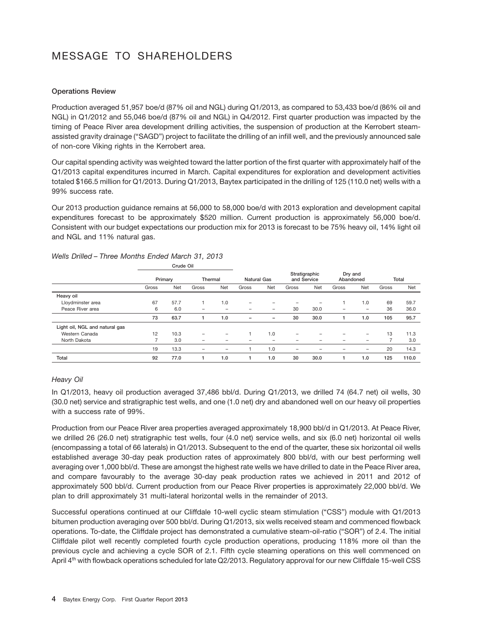# MESSAGE TO SHAREHOLDERS

#### **Operations Review**

Production averaged 51,957 boe/d (87% oil and NGL) during Q1/2013, as compared to 53,433 boe/d (86% oil and NGL) in Q1/2012 and 55,046 boe/d (87% oil and NGL) in Q4/2012. First quarter production was impacted by the timing of Peace River area development drilling activities, the suspension of production at the Kerrobert steamassisted gravity drainage (''SAGD'') project to facilitate the drilling of an infill well, and the previously announced sale of non-core Viking rights in the Kerrobert area.

Our capital spending activity was weighted toward the latter portion of the first quarter with approximately half of the Q1/2013 capital expenditures incurred in March. Capital expenditures for exploration and development activities totaled \$166.5 million for Q1/2013. During Q1/2013, Baytex participated in the drilling of 125 (110.0 net) wells with a 99% success rate.

Our 2013 production guidance remains at 56,000 to 58,000 boe/d with 2013 exploration and development capital expenditures forecast to be approximately \$520 million. Current production is approximately 56,000 boe/d. Consistent with our budget expectations our production mix for 2013 is forecast to be 75% heavy oil, 14% light oil and NGL and 11% natural gas.

|                                | Primary |      | Thermal                  |                          | <b>Natural Gas</b>       |                          | Stratigraphic<br>and Service |      | Dry and<br>Abandoned     |                          |       | Total |
|--------------------------------|---------|------|--------------------------|--------------------------|--------------------------|--------------------------|------------------------------|------|--------------------------|--------------------------|-------|-------|
|                                | Gross   | Net  | Gross                    | Net                      | Gross                    | Net                      | Gross                        | Net  | Gross                    | Net                      | Gross | Net   |
| Heavy oil                      |         |      |                          |                          |                          |                          |                              |      |                          |                          |       |       |
| Lloydminster area              | 67      | 57.7 |                          | 1.0                      | $\qquad \qquad$          |                          | $\overline{\phantom{0}}$     | -    |                          | 1.0                      | 69    | 59.7  |
| Peace River area               | 6       | 6.0  | $\overline{\phantom{0}}$ | $\overline{\phantom{0}}$ | -                        | $\overline{\phantom{0}}$ | 30                           | 30.0 | $\overline{\phantom{0}}$ | $\overline{\phantom{0}}$ | 36    | 36.0  |
|                                | 73      | 63.7 |                          | 1.0                      | $\overline{\phantom{0}}$ |                          | 30                           | 30.0 |                          | 1.0                      | 105   | 95.7  |
| Light oil, NGL and natural gas |         |      |                          |                          |                          |                          |                              |      |                          |                          |       |       |
| Western Canada                 | 12      | 10.3 | $\qquad \qquad$          | $\overline{\phantom{0}}$ |                          | 1.0                      | $\overline{\phantom{0}}$     |      |                          | $\overline{\phantom{0}}$ | 13    | 11.3  |
| North Dakota                   |         | 3.0  | $\overline{\phantom{0}}$ | $\overline{\phantom{0}}$ |                          |                          | -                            |      |                          | $\overline{\phantom{0}}$ | ⇁     | 3.0   |
|                                | 19      | 13.3 | $\overline{\phantom{0}}$ | $\overline{\phantom{0}}$ |                          | 1.0                      |                              | -    | -                        | $\overline{\phantom{0}}$ | 20    | 14.3  |
| <b>Total</b>                   | 92      | 77.0 |                          | 1.0                      |                          | 1.0                      | 30                           | 30.0 |                          | 1.0                      | 125   | 110.0 |

#### *Wells Drilled – Three Months Ended March 31, 2013*

**Crude Oil**

#### *Heavy Oil*

In Q1/2013, heavy oil production averaged 37,486 bbl/d. During Q1/2013, we drilled 74 (64.7 net) oil wells, 30 (30.0 net) service and stratigraphic test wells, and one (1.0 net) dry and abandoned well on our heavy oil properties with a success rate of 99%.

Production from our Peace River area properties averaged approximately 18,900 bbl/d in Q1/2013. At Peace River, we drilled 26 (26.0 net) stratigraphic test wells, four (4.0 net) service wells, and six (6.0 net) horizontal oil wells (encompassing a total of 66 laterals) in Q1/2013. Subsequent to the end of the quarter, these six horizontal oil wells established average 30-day peak production rates of approximately 800 bbl/d, with our best performing well averaging over 1,000 bbl/d. These are amongst the highest rate wells we have drilled to date in the Peace River area, and compare favourably to the average 30-day peak production rates we achieved in 2011 and 2012 of approximately 500 bbl/d. Current production from our Peace River properties is approximately 22,000 bbl/d. We plan to drill approximately 31 multi-lateral horizontal wells in the remainder of 2013.

Successful operations continued at our Cliffdale 10-well cyclic steam stimulation (''CSS'') module with Q1/2013 bitumen production averaging over 500 bbl/d. During Q1/2013, six wells received steam and commenced flowback operations. To-date, the Cliffdale project has demonstrated a cumulative steam-oil-ratio (''SOR'') of 2.4. The initial Cliffdale pilot well recently completed fourth cycle production operations, producing 118% more oil than the previous cycle and achieving a cycle SOR of 2.1. Fifth cycle steaming operations on this well commenced on April 4<sup>th</sup> with flowback operations scheduled for late Q2/2013. Regulatory approval for our new Cliffdale 15-well CSS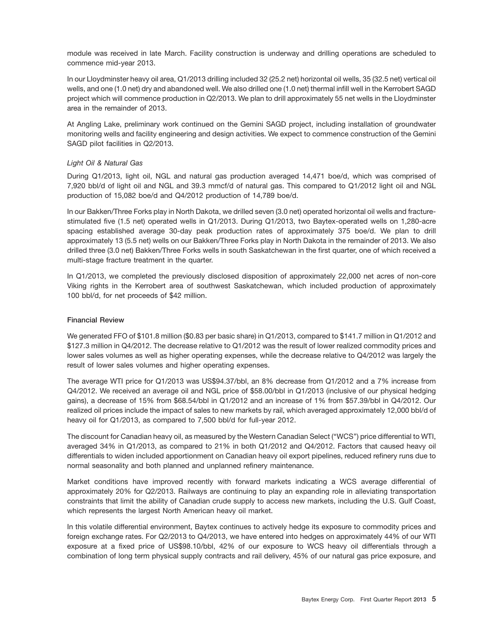module was received in late March. Facility construction is underway and drilling operations are scheduled to commence mid-year 2013.

In our Lloydminster heavy oil area, Q1/2013 drilling included 32 (25.2 net) horizontal oil wells, 35 (32.5 net) vertical oil wells, and one (1.0 net) dry and abandoned well. We also drilled one (1.0 net) thermal infill well in the Kerrobert SAGD project which will commence production in Q2/2013. We plan to drill approximately 55 net wells in the Lloydminster area in the remainder of 2013.

At Angling Lake, preliminary work continued on the Gemini SAGD project, including installation of groundwater monitoring wells and facility engineering and design activities. We expect to commence construction of the Gemini SAGD pilot facilities in Q2/2013.

#### *Light Oil & Natural Gas*

During Q1/2013, light oil, NGL and natural gas production averaged 14,471 boe/d, which was comprised of 7,920 bbl/d of light oil and NGL and 39.3 mmcf/d of natural gas. This compared to Q1/2012 light oil and NGL production of 15,082 boe/d and Q4/2012 production of 14,789 boe/d.

In our Bakken/Three Forks play in North Dakota, we drilled seven (3.0 net) operated horizontal oil wells and fracturestimulated five (1.5 net) operated wells in Q1/2013. During Q1/2013, two Baytex-operated wells on 1,280-acre spacing established average 30-day peak production rates of approximately 375 boe/d. We plan to drill approximately 13 (5.5 net) wells on our Bakken/Three Forks play in North Dakota in the remainder of 2013. We also drilled three (3.0 net) Bakken/Three Forks wells in south Saskatchewan in the first quarter, one of which received a multi-stage fracture treatment in the quarter.

In Q1/2013, we completed the previously disclosed disposition of approximately 22,000 net acres of non-core Viking rights in the Kerrobert area of southwest Saskatchewan, which included production of approximately 100 bbl/d, for net proceeds of \$42 million.

#### **Financial Review**

We generated FFO of \$101.8 million (\$0.83 per basic share) in Q1/2013, compared to \$141.7 million in Q1/2012 and \$127.3 million in Q4/2012. The decrease relative to Q1/2012 was the result of lower realized commodity prices and lower sales volumes as well as higher operating expenses, while the decrease relative to Q4/2012 was largely the result of lower sales volumes and higher operating expenses.

The average WTI price for Q1/2013 was US\$94.37/bbl, an 8% decrease from Q1/2012 and a 7% increase from Q4/2012. We received an average oil and NGL price of \$58.00/bbl in Q1/2013 (inclusive of our physical hedging gains), a decrease of 15% from \$68.54/bbl in Q1/2012 and an increase of 1% from \$57.39/bbl in Q4/2012. Our realized oil prices include the impact of sales to new markets by rail, which averaged approximately 12,000 bbl/d of heavy oil for Q1/2013, as compared to 7,500 bbl/d for full-year 2012.

The discount for Canadian heavy oil, as measured by the Western Canadian Select (''WCS'') price differential to WTI, averaged 34% in Q1/2013, as compared to 21% in both Q1/2012 and Q4/2012. Factors that caused heavy oil differentials to widen included apportionment on Canadian heavy oil export pipelines, reduced refinery runs due to normal seasonality and both planned and unplanned refinery maintenance.

Market conditions have improved recently with forward markets indicating a WCS average differential of approximately 20% for Q2/2013. Railways are continuing to play an expanding role in alleviating transportation constraints that limit the ability of Canadian crude supply to access new markets, including the U.S. Gulf Coast, which represents the largest North American heavy oil market.

In this volatile differential environment, Baytex continues to actively hedge its exposure to commodity prices and foreign exchange rates. For Q2/2013 to Q4/2013, we have entered into hedges on approximately 44% of our WTI exposure at a fixed price of US\$98.10/bbl, 42% of our exposure to WCS heavy oil differentials through a combination of long term physical supply contracts and rail delivery, 45% of our natural gas price exposure, and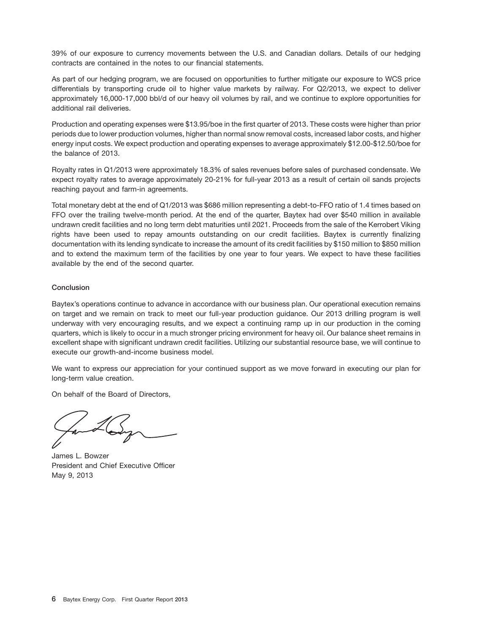39% of our exposure to currency movements between the U.S. and Canadian dollars. Details of our hedging contracts are contained in the notes to our financial statements.

As part of our hedging program, we are focused on opportunities to further mitigate our exposure to WCS price differentials by transporting crude oil to higher value markets by railway. For Q2/2013, we expect to deliver approximately 16,000-17,000 bbl/d of our heavy oil volumes by rail, and we continue to explore opportunities for additional rail deliveries.

Production and operating expenses were \$13.95/boe in the first quarter of 2013. These costs were higher than prior periods due to lower production volumes, higher than normal snow removal costs, increased labor costs, and higher energy input costs. We expect production and operating expenses to average approximately \$12.00-\$12.50/boe for the balance of 2013.

Royalty rates in Q1/2013 were approximately 18.3% of sales revenues before sales of purchased condensate. We expect royalty rates to average approximately 20-21% for full-year 2013 as a result of certain oil sands projects reaching payout and farm-in agreements.

Total monetary debt at the end of Q1/2013 was \$686 million representing a debt-to-FFO ratio of 1.4 times based on FFO over the trailing twelve-month period. At the end of the quarter, Baytex had over \$540 million in available undrawn credit facilities and no long term debt maturities until 2021. Proceeds from the sale of the Kerrobert Viking rights have been used to repay amounts outstanding on our credit facilities. Baytex is currently finalizing documentation with its lending syndicate to increase the amount of its credit facilities by \$150 million to \$850 million and to extend the maximum term of the facilities by one year to four years. We expect to have these facilities available by the end of the second quarter.

#### **Conclusion**

Baytex's operations continue to advance in accordance with our business plan. Our operational execution remains on target and we remain on track to meet our full-year production guidance. Our 2013 drilling program is well underway with very encouraging results, and we expect a continuing ramp up in our production in the coming quarters, which is likely to occur in a much stronger pricing environment for heavy oil. Our balance sheet remains in excellent shape with significant undrawn credit facilities. Utilizing our substantial resource base, we will continue to execute our growth-and-income business model.

We want to express our appreciation for your continued support as we move forward in executing our plan for long-term value creation.

On behalf of the Board of Directors,

James L. Bowzer President and Chief Executive Officer May 9, 2013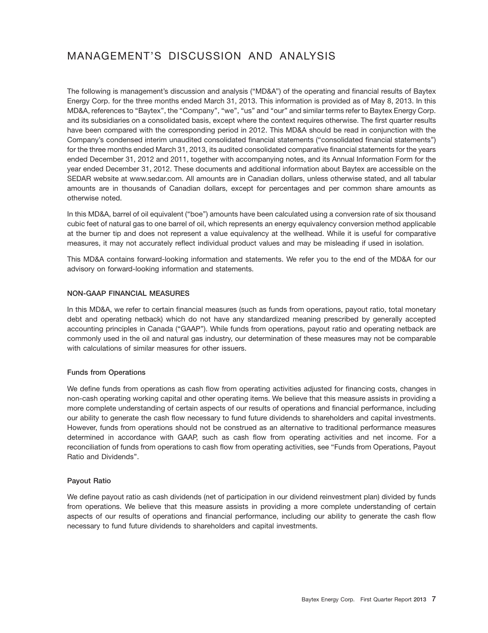# MANAGEMENT'S DISCUSSION AND ANALYSIS

The following is management's discussion and analysis (''MD&A'') of the operating and financial results of Baytex Energy Corp. for the three months ended March 31, 2013. This information is provided as of May 8, 2013. In this MD&A, references to "Baytex", the "Company", "we", "us" and "our" and similar terms refer to Baytex Energy Corp. and its subsidiaries on a consolidated basis, except where the context requires otherwise. The first quarter results have been compared with the corresponding period in 2012. This MD&A should be read in conjunction with the Company's condensed interim unaudited consolidated financial statements (''consolidated financial statements'') for the three months ended March 31, 2013, its audited consolidated comparative financial statements for the years ended December 31, 2012 and 2011, together with accompanying notes, and its Annual Information Form for the year ended December 31, 2012. These documents and additional information about Baytex are accessible on the SEDAR website at www.sedar.com. All amounts are in Canadian dollars, unless otherwise stated, and all tabular amounts are in thousands of Canadian dollars, except for percentages and per common share amounts as otherwise noted.

In this MD&A, barrel of oil equivalent (''boe'') amounts have been calculated using a conversion rate of six thousand cubic feet of natural gas to one barrel of oil, which represents an energy equivalency conversion method applicable at the burner tip and does not represent a value equivalency at the wellhead. While it is useful for comparative measures, it may not accurately reflect individual product values and may be misleading if used in isolation.

This MD&A contains forward-looking information and statements. We refer you to the end of the MD&A for our advisory on forward-looking information and statements.

#### **NON-GAAP FINANCIAL MEASURES**

In this MD&A, we refer to certain financial measures (such as funds from operations, payout ratio, total monetary debt and operating netback) which do not have any standardized meaning prescribed by generally accepted accounting principles in Canada (''GAAP''). While funds from operations, payout ratio and operating netback are commonly used in the oil and natural gas industry, our determination of these measures may not be comparable with calculations of similar measures for other issuers.

#### **Funds from Operations**

We define funds from operations as cash flow from operating activities adjusted for financing costs, changes in non-cash operating working capital and other operating items. We believe that this measure assists in providing a more complete understanding of certain aspects of our results of operations and financial performance, including our ability to generate the cash flow necessary to fund future dividends to shareholders and capital investments. However, funds from operations should not be construed as an alternative to traditional performance measures determined in accordance with GAAP, such as cash flow from operating activities and net income. For a reconciliation of funds from operations to cash flow from operating activities, see ''Funds from Operations, Payout Ratio and Dividends''.

#### **Payout Ratio**

We define payout ratio as cash dividends (net of participation in our dividend reinvestment plan) divided by funds from operations. We believe that this measure assists in providing a more complete understanding of certain aspects of our results of operations and financial performance, including our ability to generate the cash flow necessary to fund future dividends to shareholders and capital investments.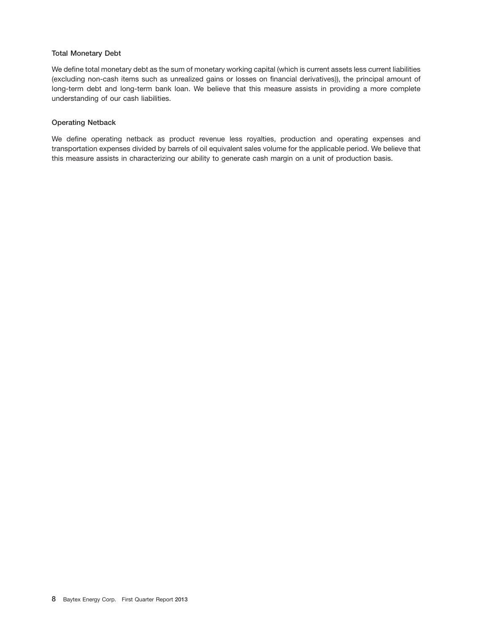#### **Total Monetary Debt**

We define total monetary debt as the sum of monetary working capital (which is current assets less current liabilities (excluding non-cash items such as unrealized gains or losses on financial derivatives)), the principal amount of long-term debt and long-term bank loan. We believe that this measure assists in providing a more complete understanding of our cash liabilities.

#### **Operating Netback**

We define operating netback as product revenue less royalties, production and operating expenses and transportation expenses divided by barrels of oil equivalent sales volume for the applicable period. We believe that this measure assists in characterizing our ability to generate cash margin on a unit of production basis.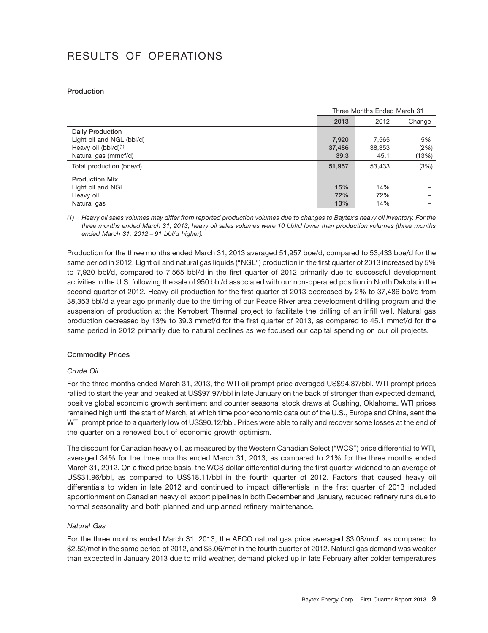# RESULTS OF OPERATIONS

#### **Production**

|                           | Three Months Ended March 31 |        |        |  |  |  |
|---------------------------|-----------------------------|--------|--------|--|--|--|
|                           | 2013                        | 2012   | Change |  |  |  |
| <b>Daily Production</b>   |                             |        |        |  |  |  |
| Light oil and NGL (bbl/d) | 7,920                       | 7,565  | 5%     |  |  |  |
| Heavy oil $(bbI/d)^{(1)}$ | 37,486                      | 38,353 | (2%)   |  |  |  |
| Natural gas (mmcf/d)      | 39.3                        | 45.1   | (13%)  |  |  |  |
| Total production (boe/d)  | 51,957                      | 53.433 | (3%)   |  |  |  |
| <b>Production Mix</b>     |                             |        |        |  |  |  |
| Light oil and NGL         | 15%                         | 14%    |        |  |  |  |
| Heavy oil                 | 72%                         | 72%    |        |  |  |  |
| Natural gas               | 13%                         | 14%    |        |  |  |  |

*(1) Heavy oil sales volumes may differ from reported production volumes due to changes to Baytex's heavy oil inventory. For the three months ended March 31, 2013, heavy oil sales volumes were 10 bbl/d lower than production volumes (three months ended March 31, 2012 – 91 bbl/d higher).*

Production for the three months ended March 31, 2013 averaged 51,957 boe/d, compared to 53,433 boe/d for the same period in 2012. Light oil and natural gas liquids ("NGL") production in the first quarter of 2013 increased by 5% to 7,920 bbl/d, compared to 7,565 bbl/d in the first quarter of 2012 primarily due to successful development activities in the U.S. following the sale of 950 bbl/d associated with our non-operated position in North Dakota in the second quarter of 2012. Heavy oil production for the first quarter of 2013 decreased by 2% to 37,486 bbl/d from 38,353 bbl/d a year ago primarily due to the timing of our Peace River area development drilling program and the suspension of production at the Kerrobert Thermal project to facilitate the drilling of an infill well. Natural gas production decreased by 13% to 39.3 mmcf/d for the first quarter of 2013, as compared to 45.1 mmcf/d for the same period in 2012 primarily due to natural declines as we focused our capital spending on our oil projects.

#### **Commodity Prices**

#### *Crude Oil*

For the three months ended March 31, 2013, the WTI oil prompt price averaged US\$94.37/bbl. WTI prompt prices rallied to start the year and peaked at US\$97.97/bbl in late January on the back of stronger than expected demand, positive global economic growth sentiment and counter seasonal stock draws at Cushing, Oklahoma. WTI prices remained high until the start of March, at which time poor economic data out of the U.S., Europe and China, sent the WTI prompt price to a quarterly low of US\$90.12/bbl. Prices were able to rally and recover some losses at the end of the quarter on a renewed bout of economic growth optimism.

The discount for Canadian heavy oil, as measured by the Western Canadian Select (''WCS'') price differential to WTI, averaged 34% for the three months ended March 31, 2013, as compared to 21% for the three months ended March 31, 2012. On a fixed price basis, the WCS dollar differential during the first quarter widened to an average of US\$31.96/bbl, as compared to US\$18.11/bbl in the fourth quarter of 2012. Factors that caused heavy oil differentials to widen in late 2012 and continued to impact differentials in the first quarter of 2013 included apportionment on Canadian heavy oil export pipelines in both December and January, reduced refinery runs due to normal seasonality and both planned and unplanned refinery maintenance.

#### *Natural Gas*

For the three months ended March 31, 2013, the AECO natural gas price averaged \$3.08/mcf, as compared to \$2.52/mcf in the same period of 2012, and \$3.06/mcf in the fourth quarter of 2012. Natural gas demand was weaker than expected in January 2013 due to mild weather, demand picked up in late February after colder temperatures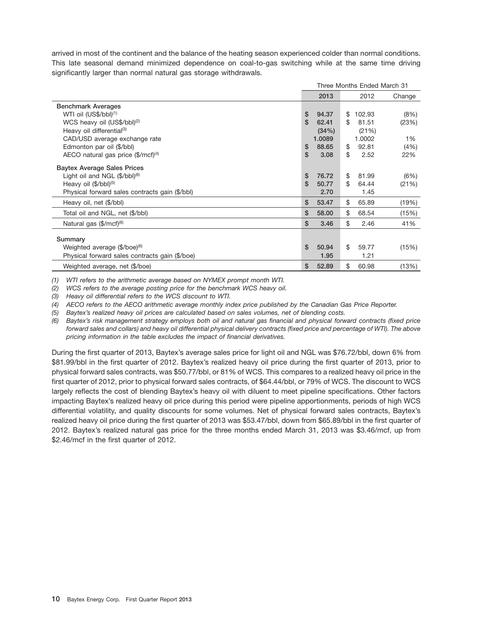arrived in most of the continent and the balance of the heating season experienced colder than normal conditions. This late seasonal demand minimized dependence on coal-to-gas switching while at the same time driving significantly larger than normal natural gas storage withdrawals.

|                                                | Three Months Ended March 31 |        |    |        |        |  |
|------------------------------------------------|-----------------------------|--------|----|--------|--------|--|
|                                                |                             | 2013   |    | 2012   | Change |  |
| <b>Benchmark Averages</b>                      |                             |        |    |        |        |  |
| WTI oil (US\$/bbl) <sup>(1)</sup>              | \$                          | 94.37  | \$ | 102.93 | (8%)   |  |
| WCS heavy oil (US\$/bbl) <sup>(2)</sup>        | \$                          | 62.41  | \$ | 81.51  | (23%)  |  |
| Heavy oil differential <sup>(3)</sup>          |                             | (34%)  |    | (21%)  |        |  |
| CAD/USD average exchange rate                  |                             | 1.0089 |    | 1.0002 | 1%     |  |
| Edmonton par oil (\$/bbl)                      | \$                          | 88.65  | \$ | 92.81  | (4% )  |  |
| AECO natural gas price $(\frac{5}{mcf})^{(4)}$ | \$                          | 3.08   | \$ | 2.52   | 22%    |  |
| <b>Baytex Average Sales Prices</b>             |                             |        |    |        |        |  |
| Light oil and NGL $(\frac{6}{bb})^{(6)}$       | \$                          | 76.72  | \$ | 81.99  | (6%)   |  |
| Heavy oil $(\frac{6}{bbi})^{(5)}$              | \$                          | 50.77  | \$ | 64.44  | (21%)  |  |
| Physical forward sales contracts gain (\$/bbl) |                             | 2.70   |    | 1.45   |        |  |
| Heavy oil, net (\$/bbl)                        | \$                          | 53.47  | \$ | 65.89  | (19%)  |  |
| Total oil and NGL, net (\$/bbl)                | \$                          | 58.00  | \$ | 68.54  | (15%)  |  |
| Natural gas $(\frac{6}{m}$ cf) <sup>(6)</sup>  | \$                          | 3.46   | \$ | 2.46   | 41%    |  |
| Summary                                        |                             |        |    |        |        |  |
| Weighted average (\$/boe) <sup>(6)</sup>       | $\mathbb{S}$                | 50.94  | \$ | 59.77  | (15%)  |  |
| Physical forward sales contracts gain (\$/boe) |                             | 1.95   |    | 1.21   |        |  |
|                                                |                             |        |    |        |        |  |
| Weighted average, net (\$/boe)                 | \$                          | 52.89  | \$ | 60.98  | (13%)  |  |

*(1) WTI refers to the arithmetic average based on NYMEX prompt month WTI.*

*(2) WCS refers to the average posting price for the benchmark WCS heavy oil.*

*(3) Heavy oil differential refers to the WCS discount to WTI.*

*(4) AECO refers to the AECO arithmetic average monthly index price published by the Canadian Gas Price Reporter.*

*(5) Baytex's realized heavy oil prices are calculated based on sales volumes, net of blending costs.*

*(6) Baytex's risk management strategy employs both oil and natural gas financial and physical forward contracts (fixed price forward sales and collars) and heavy oil differential physical delivery contracts (fixed price and percentage of WTI). The above pricing information in the table excludes the impact of financial derivatives.*

During the first quarter of 2013, Baytex's average sales price for light oil and NGL was \$76.72/bbl, down 6% from \$81.99/bbl in the first quarter of 2012. Baytex's realized heavy oil price during the first quarter of 2013, prior to physical forward sales contracts, was \$50.77/bbl, or 81% of WCS. This compares to a realized heavy oil price in the first quarter of 2012, prior to physical forward sales contracts, of \$64.44/bbl, or 79% of WCS. The discount to WCS largely reflects the cost of blending Baytex's heavy oil with diluent to meet pipeline specifications. Other factors impacting Baytex's realized heavy oil price during this period were pipeline apportionments, periods of high WCS differential volatility, and quality discounts for some volumes. Net of physical forward sales contracts, Baytex's realized heavy oil price during the first quarter of 2013 was \$53.47/bbl, down from \$65.89/bbl in the first quarter of 2012. Baytex's realized natural gas price for the three months ended March 31, 2013 was \$3.46/mcf, up from \$2.46/mcf in the first quarter of 2012.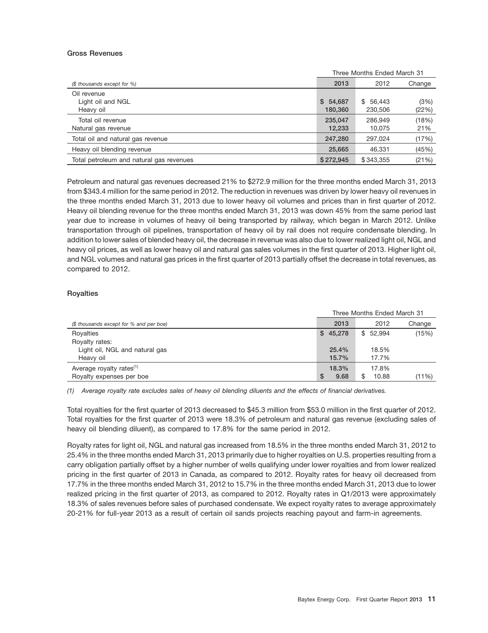#### **Gross Revenues**

|                                          | Three Months Ended March 31 |           |        |  |  |  |
|------------------------------------------|-----------------------------|-----------|--------|--|--|--|
| (\$ thousands except for %)              | 2013                        | 2012      | Change |  |  |  |
| Oil revenue                              |                             |           |        |  |  |  |
| Light oil and NGL                        | \$54,687                    | \$ 56,443 | (3%)   |  |  |  |
| Heavy oil                                | 180,360                     | 230,506   | (22%)  |  |  |  |
| Total oil revenue                        | 235,047                     | 286.949   | (18%)  |  |  |  |
| Natural gas revenue                      | 12.233                      | 10.075    | 21%    |  |  |  |
| Total oil and natural gas revenue        | 247.280                     | 297.024   | (17%)  |  |  |  |
| Heavy oil blending revenue               | 25,665                      | 46,331    | (45%)  |  |  |  |
| Total petroleum and natural gas revenues | \$272,945                   | \$343,355 | (21%)  |  |  |  |

Petroleum and natural gas revenues decreased 21% to \$272.9 million for the three months ended March 31, 2013 from \$343.4 million for the same period in 2012. The reduction in revenues was driven by lower heavy oil revenues in the three months ended March 31, 2013 due to lower heavy oil volumes and prices than in first quarter of 2012. Heavy oil blending revenue for the three months ended March 31, 2013 was down 45% from the same period last year due to increase in volumes of heavy oil being transported by railway, which began in March 2012. Unlike transportation through oil pipelines, transportation of heavy oil by rail does not require condensate blending. In addition to lower sales of blended heavy oil, the decrease in revenue was also due to lower realized light oil, NGL and heavy oil prices, as well as lower heavy oil and natural gas sales volumes in the first quarter of 2013. Higher light oil, and NGL volumes and natural gas prices in the first quarter of 2013 partially offset the decrease in total revenues, as compared to 2012.

#### **Royalties**

|                                         | Three Months Ended March 31 |             |        |  |  |  |  |
|-----------------------------------------|-----------------------------|-------------|--------|--|--|--|--|
| (\$ thousands except for % and per boe) | 2013                        | 2012        | Change |  |  |  |  |
| Royalties                               | \$45,278                    | \$52.994    | (15%)  |  |  |  |  |
| Royalty rates:                          |                             |             |        |  |  |  |  |
| Light oil, NGL and natural gas          | 25.4%                       | 18.5%       |        |  |  |  |  |
| Heavy oil                               | 15.7%                       | 17.7%       |        |  |  |  |  |
| Average royalty rates <sup>(1)</sup>    | 18.3%                       | 17.8%       |        |  |  |  |  |
| Royalty expenses per boe                | 9.68                        | 10.88<br>\$ | (11%)  |  |  |  |  |

*(1) Average royalty rate excludes sales of heavy oil blending diluents and the effects of financial derivatives.*

Total royalties for the first quarter of 2013 decreased to \$45.3 million from \$53.0 million in the first quarter of 2012. Total royalties for the first quarter of 2013 were 18.3% of petroleum and natural gas revenue (excluding sales of heavy oil blending diluent), as compared to 17.8% for the same period in 2012.

Royalty rates for light oil, NGL and natural gas increased from 18.5% in the three months ended March 31, 2012 to 25.4% in the three months ended March 31, 2013 primarily due to higher royalties on U.S. properties resulting from a carry obligation partially offset by a higher number of wells qualifying under lower royalties and from lower realized pricing in the first quarter of 2013 in Canada, as compared to 2012. Royalty rates for heavy oil decreased from 17.7% in the three months ended March 31, 2012 to 15.7% in the three months ended March 31, 2013 due to lower realized pricing in the first quarter of 2013, as compared to 2012. Royalty rates in Q1/2013 were approximately 18.3% of sales revenues before sales of purchased condensate. We expect royalty rates to average approximately 20-21% for full-year 2013 as a result of certain oil sands projects reaching payout and farm-in agreements.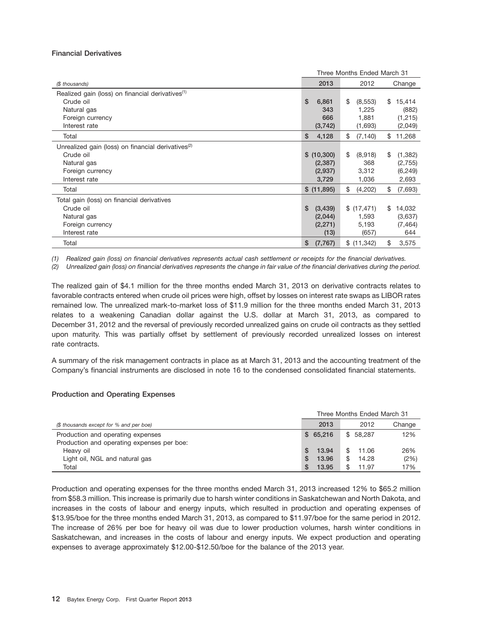#### **Financial Derivatives**

|                                                                | Three Months Ended March 31 |                |                |  |  |  |
|----------------------------------------------------------------|-----------------------------|----------------|----------------|--|--|--|
| (\$ thousands)                                                 | 2013                        | Change         |                |  |  |  |
| Realized gain (loss) on financial derivatives <sup>(1)</sup>   |                             |                |                |  |  |  |
| Crude oil                                                      | \$<br>6,861                 | \$<br>(8, 553) | 15,414<br>\$   |  |  |  |
| Natural gas                                                    | 343                         | 1,225          | (882)          |  |  |  |
| Foreign currency                                               | 666                         | 1,881          | (1,215)        |  |  |  |
| Interest rate                                                  | (3,742)                     | (1,693)        | (2,049)        |  |  |  |
| Total                                                          | \$<br>4,128                 | \$<br>(7, 140) | 11,268<br>\$   |  |  |  |
| Unrealized gain (loss) on financial derivatives <sup>(2)</sup> |                             |                |                |  |  |  |
| Crude oil                                                      | \$(10,300)                  | \$<br>(8,918)  | \$<br>(1, 382) |  |  |  |
| Natural gas                                                    | (2, 387)                    | 368            | (2,755)        |  |  |  |
| Foreign currency                                               | (2,937)                     | 3,312          | (6, 249)       |  |  |  |
| Interest rate                                                  | 3,729                       | 1,036          | 2,693          |  |  |  |
| Total                                                          | \$ (11,895)                 | \$<br>(4,202)  | \$<br>(7,693)  |  |  |  |
| Total gain (loss) on financial derivatives                     |                             |                |                |  |  |  |
| Crude oil                                                      | \$<br>(3, 439)              | \$(17, 471)    | 14,032<br>\$   |  |  |  |
| Natural gas                                                    | (2,044)                     | 1,593          | (3,637)        |  |  |  |
| Foreign currency                                               | (2,271)                     | 5,193          | (7, 464)       |  |  |  |
| Interest rate                                                  | (13)                        | (657)          | 644            |  |  |  |
| Total                                                          | \$<br>(7, 767)              | \$(11,342)     | \$<br>3,575    |  |  |  |

*(1) Realized gain (loss) on financial derivatives represents actual cash settlement or receipts for the financial derivatives.*

*(2) Unrealized gain (loss) on financial derivatives represents the change in fair value of the financial derivatives during the period.*

The realized gain of \$4.1 million for the three months ended March 31, 2013 on derivative contracts relates to favorable contracts entered when crude oil prices were high, offset by losses on interest rate swaps as LIBOR rates remained low. The unrealized mark-to-market loss of \$11.9 million for the three months ended March 31, 2013 relates to a weakening Canadian dollar against the U.S. dollar at March 31, 2013, as compared to December 31, 2012 and the reversal of previously recorded unrealized gains on crude oil contracts as they settled upon maturity. This was partially offset by settlement of previously recorded unrealized losses on interest rate contracts.

A summary of the risk management contracts in place as at March 31, 2013 and the accounting treatment of the Company's financial instruments are disclosed in note 16 to the condensed consolidated financial statements.

#### **Production and Operating Expenses**

|                                            | Three Months Ended March 31 |          |     |          |        |  |
|--------------------------------------------|-----------------------------|----------|-----|----------|--------|--|
| (\$ thousands except for % and per boe)    |                             | 2013     |     | 2012     | Change |  |
| Production and operating expenses          |                             | \$65,216 |     | \$58.287 | 12%    |  |
| Production and operating expenses per boe: |                             |          |     |          |        |  |
| Heavy oil                                  | S                           | 13.94    | \$. | 11.06    | 26%    |  |
| Light oil, NGL and natural gas             |                             | 13.96    | \$  | 14.28    | (2%)   |  |
| Total                                      | S                           | 13.95    | \$  | 11.97    | 17%    |  |

Production and operating expenses for the three months ended March 31, 2013 increased 12% to \$65.2 million from \$58.3 million. This increase is primarily due to harsh winter conditions in Saskatchewan and North Dakota, and increases in the costs of labour and energy inputs, which resulted in production and operating expenses of \$13.95/boe for the three months ended March 31, 2013, as compared to \$11.97/boe for the same period in 2012. The increase of 26% per boe for heavy oil was due to lower production volumes, harsh winter conditions in Saskatchewan, and increases in the costs of labour and energy inputs. We expect production and operating expenses to average approximately \$12.00-\$12.50/boe for the balance of the 2013 year.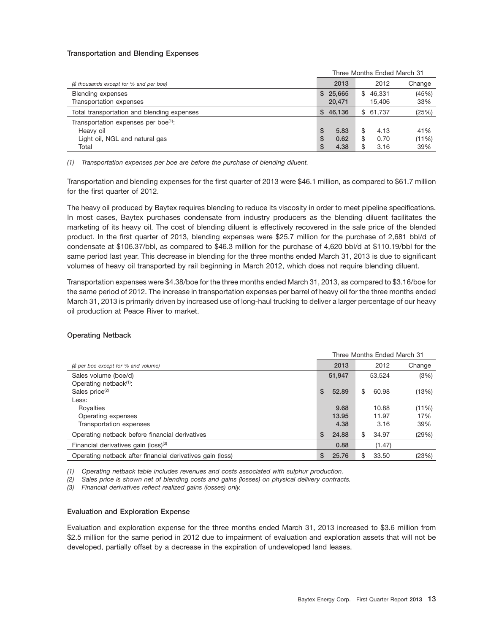#### **Transportation and Blending Expenses**

|                                                  | Three Months Ended March 31 |          |     |          |          |  |
|--------------------------------------------------|-----------------------------|----------|-----|----------|----------|--|
| (\$ thousands except for % and per boe)          |                             | 2013     |     | 2012     | Change   |  |
| <b>Blending expenses</b>                         |                             | \$25,665 | \$. | 46.331   | (45%)    |  |
| Transportation expenses                          |                             | 20,471   |     | 15.406   | 33%      |  |
| Total transportation and blending expenses       |                             | \$46.136 |     | \$61.737 | (25%)    |  |
| Transportation expenses per boe <sup>(1)</sup> : |                             |          |     |          |          |  |
| Heavy oil                                        | \$                          | 5.83     | \$  | 4.13     | 41%      |  |
| Light oil, NGL and natural gas                   | S                           | 0.62     | \$  | 0.70     | $(11\%)$ |  |
| Total                                            | \$                          | 4.38     | \$  | 3.16     | 39%      |  |

*(1) Transportation expenses per boe are before the purchase of blending diluent.*

Transportation and blending expenses for the first quarter of 2013 were \$46.1 million, as compared to \$61.7 million for the first quarter of 2012.

The heavy oil produced by Baytex requires blending to reduce its viscosity in order to meet pipeline specifications. In most cases, Baytex purchases condensate from industry producers as the blending diluent facilitates the marketing of its heavy oil. The cost of blending diluent is effectively recovered in the sale price of the blended product. In the first quarter of 2013, blending expenses were \$25.7 million for the purchase of 2,681 bbl/d of condensate at \$106.37/bbl, as compared to \$46.3 million for the purchase of 4,620 bbl/d at \$110.19/bbl for the same period last year. This decrease in blending for the three months ended March 31, 2013 is due to significant volumes of heavy oil transported by rail beginning in March 2012, which does not require blending diluent.

Transportation expenses were \$4.38/boe for the three months ended March 31, 2013, as compared to \$3.16/boe for the same period of 2012. The increase in transportation expenses per barrel of heavy oil for the three months ended March 31, 2013 is primarily driven by increased use of long-haul trucking to deliver a larger percentage of our heavy oil production at Peace River to market.

#### **Operating Netback**

|                                                           |   |        |        | Three Months Ended March 31 |          |  |
|-----------------------------------------------------------|---|--------|--------|-----------------------------|----------|--|
| (\$ per boe except for % and volume)                      |   | 2013   |        | 2012                        | Change   |  |
| Sales volume (boe/d)                                      |   | 51.947 | 53.524 |                             | (3%)     |  |
| Operating netback <sup>(1)</sup> :                        |   |        |        |                             |          |  |
| Sales price <sup>(2)</sup>                                | S | 52.89  | \$     | 60.98                       | (13%)    |  |
| Less:                                                     |   |        |        |                             |          |  |
| Royalties                                                 |   | 9.68   |        | 10.88                       | $(11\%)$ |  |
| Operating expenses                                        |   | 13.95  |        | 11.97                       | 17%      |  |
| Transportation expenses                                   |   | 4.38   |        | 3.16                        | 39%      |  |
| Operating netback before financial derivatives            | S | 24.88  | \$     | 34.97                       | (29%)    |  |
| Financial derivatives gain (loss) <sup>(3)</sup>          |   | 0.88   |        | (1.47)                      |          |  |
| Operating netback after financial derivatives gain (loss) | S | 25.76  | \$     | 33.50                       | (23%)    |  |

*(1) Operating netback table includes revenues and costs associated with sulphur production.*

*(2) Sales price is shown net of blending costs and gains (losses) on physical delivery contracts.*

*(3) Financial derivatives reflect realized gains (losses) only.*

#### **Evaluation and Exploration Expense**

Evaluation and exploration expense for the three months ended March 31, 2013 increased to \$3.6 million from \$2.5 million for the same period in 2012 due to impairment of evaluation and exploration assets that will not be developed, partially offset by a decrease in the expiration of undeveloped land leases.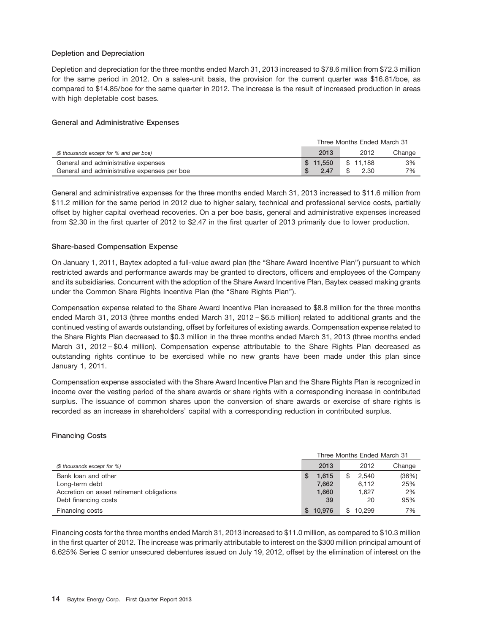#### **Depletion and Depreciation**

Depletion and depreciation for the three months ended March 31, 2013 increased to \$78.6 million from \$72.3 million for the same period in 2012. On a sales-unit basis, the provision for the current quarter was \$16.81/boe, as compared to \$14.85/boe for the same quarter in 2012. The increase is the result of increased production in areas with high depletable cost bases.

#### **General and Administrative Expenses**

|                                             | Three Months Ended March 31 |          |        |  |  |  |
|---------------------------------------------|-----------------------------|----------|--------|--|--|--|
| (\$ thousands except for % and per boe)     | 2013                        | 2012     | Change |  |  |  |
| General and administrative expenses         | \$11.550                    | \$11.188 | 3%     |  |  |  |
| General and administrative expenses per boe | 2.47                        | 2.30     | 7%     |  |  |  |

General and administrative expenses for the three months ended March 31, 2013 increased to \$11.6 million from \$11.2 million for the same period in 2012 due to higher salary, technical and professional service costs, partially offset by higher capital overhead recoveries. On a per boe basis, general and administrative expenses increased from \$2.30 in the first quarter of 2012 to \$2.47 in the first quarter of 2013 primarily due to lower production.

#### **Share-based Compensation Expense**

On January 1, 2011, Baytex adopted a full-value award plan (the ''Share Award Incentive Plan'') pursuant to which restricted awards and performance awards may be granted to directors, officers and employees of the Company and its subsidiaries. Concurrent with the adoption of the Share Award Incentive Plan, Baytex ceased making grants under the Common Share Rights Incentive Plan (the ''Share Rights Plan'').

Compensation expense related to the Share Award Incentive Plan increased to \$8.8 million for the three months ended March 31, 2013 (three months ended March 31, 2012 – \$6.5 million) related to additional grants and the continued vesting of awards outstanding, offset by forfeitures of existing awards. Compensation expense related to the Share Rights Plan decreased to \$0.3 million in the three months ended March 31, 2013 (three months ended March 31, 2012 – \$0.4 million). Compensation expense attributable to the Share Rights Plan decreased as outstanding rights continue to be exercised while no new grants have been made under this plan since January 1, 2011.

Compensation expense associated with the Share Award Incentive Plan and the Share Rights Plan is recognized in income over the vesting period of the share awards or share rights with a corresponding increase in contributed surplus. The issuance of common shares upon the conversion of share awards or exercise of share rights is recorded as an increase in shareholders' capital with a corresponding reduction in contributed surplus.

#### **Financing Costs**

|                                           | Three Months Ended March 31 |          |        |
|-------------------------------------------|-----------------------------|----------|--------|
| (\$ thousands except for %)               | 2013                        | 2012     | Change |
| Bank loan and other                       | 1,615<br>S                  | 2.540    | (36%)  |
| Long-term debt                            | 7,662                       | 6.112    | 25%    |
| Accretion on asset retirement obligations | 1,660                       | 1.627    | 2%     |
| Debt financing costs                      | 39                          | 20       | 95%    |
| Financing costs                           | \$10,976                    | \$10.299 | 7%     |

Financing costs for the three months ended March 31, 2013 increased to \$11.0 million, as compared to \$10.3 million in the first quarter of 2012. The increase was primarily attributable to interest on the \$300 million principal amount of 6.625% Series C senior unsecured debentures issued on July 19, 2012, offset by the elimination of interest on the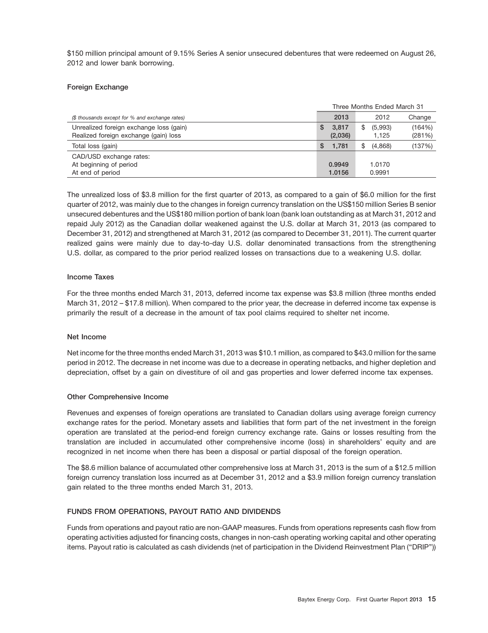\$150 million principal amount of 9.15% Series A senior unsecured debentures that were redeemed on August 26, 2012 and lower bank borrowing.

#### **Foreign Exchange**

|                                                | Three Months Ended March 31 |         |   |         |        |
|------------------------------------------------|-----------------------------|---------|---|---------|--------|
| (\$ thousands except for % and exchange rates) |                             | 2013    |   | 2012    | Change |
| Unrealized foreign exchange loss (gain)        | S                           | 3.817   | S | (5,993) | (164%) |
| Realized foreign exchange (gain) loss          |                             | (2,036) |   | 1,125   | (281%) |
| Total loss (gain)                              | S                           | 1,781   | S | (4,868) | (137%) |
| CAD/USD exchange rates:                        |                             |         |   |         |        |
| At beginning of period                         |                             | 0.9949  |   | 1.0170  |        |
| At end of period                               |                             | 1.0156  |   | 0.9991  |        |

The unrealized loss of \$3.8 million for the first quarter of 2013, as compared to a gain of \$6.0 million for the first quarter of 2012, was mainly due to the changes in foreign currency translation on the US\$150 million Series B senior unsecured debentures and the US\$180 million portion of bank loan (bank loan outstanding as at March 31, 2012 and repaid July 2012) as the Canadian dollar weakened against the U.S. dollar at March 31, 2013 (as compared to December 31, 2012) and strengthened at March 31, 2012 (as compared to December 31, 2011). The current quarter realized gains were mainly due to day-to-day U.S. dollar denominated transactions from the strengthening U.S. dollar, as compared to the prior period realized losses on transactions due to a weakening U.S. dollar.

#### **Income Taxes**

For the three months ended March 31, 2013, deferred income tax expense was \$3.8 million (three months ended March 31, 2012 – \$17.8 million). When compared to the prior year, the decrease in deferred income tax expense is primarily the result of a decrease in the amount of tax pool claims required to shelter net income.

#### **Net Income**

Net income for the three months ended March 31, 2013 was \$10.1 million, as compared to \$43.0 million for the same period in 2012. The decrease in net income was due to a decrease in operating netbacks, and higher depletion and depreciation, offset by a gain on divestiture of oil and gas properties and lower deferred income tax expenses.

#### **Other Comprehensive Income**

Revenues and expenses of foreign operations are translated to Canadian dollars using average foreign currency exchange rates for the period. Monetary assets and liabilities that form part of the net investment in the foreign operation are translated at the period-end foreign currency exchange rate. Gains or losses resulting from the translation are included in accumulated other comprehensive income (loss) in shareholders' equity and are recognized in net income when there has been a disposal or partial disposal of the foreign operation.

The \$8.6 million balance of accumulated other comprehensive loss at March 31, 2013 is the sum of a \$12.5 million foreign currency translation loss incurred as at December 31, 2012 and a \$3.9 million foreign currency translation gain related to the three months ended March 31, 2013.

#### **FUNDS FROM OPERATIONS, PAYOUT RATIO AND DIVIDENDS**

Funds from operations and payout ratio are non-GAAP measures. Funds from operations represents cash flow from operating activities adjusted for financing costs, changes in non-cash operating working capital and other operating items. Payout ratio is calculated as cash dividends (net of participation in the Dividend Reinvestment Plan (''DRIP''))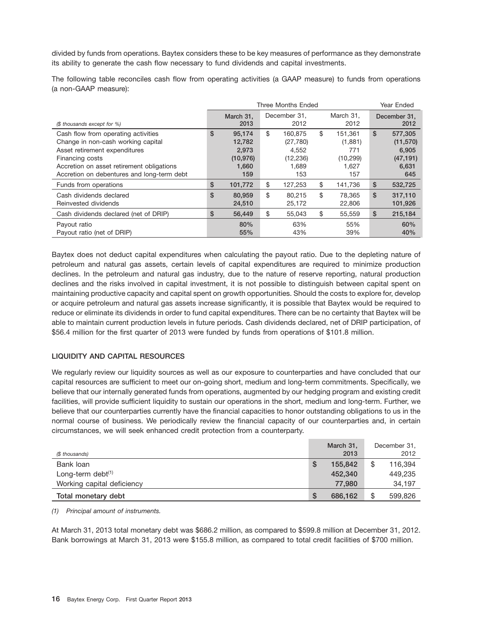divided by funds from operations. Baytex considers these to be key measures of performance as they demonstrate its ability to generate the cash flow necessary to fund dividends and capital investments.

The following table reconciles cash flow from operating activities (a GAAP measure) to funds from operations (a non-GAAP measure):

|                                                                                                                                                                            | Three Months Ended |                                                 |    |                                                     |    |                                                 |    | Year Ended                                          |
|----------------------------------------------------------------------------------------------------------------------------------------------------------------------------|--------------------|-------------------------------------------------|----|-----------------------------------------------------|----|-------------------------------------------------|----|-----------------------------------------------------|
| (\$ thousands except for %)                                                                                                                                                |                    | March 31,<br>2013                               |    | December 31.<br>2012                                |    | March 31.<br>2012                               |    | December 31.<br>2012                                |
| Cash flow from operating activities<br>Change in non-cash working capital<br>Asset retirement expenditures<br>Financing costs<br>Accretion on asset retirement obligations | \$                 | 95.174<br>12,782<br>2.973<br>(10, 976)<br>1,660 | \$ | 160.875<br>(27, 780)<br>4.552<br>(12, 236)<br>1.689 | \$ | 151.361<br>(1,881)<br>771<br>(10, 299)<br>1.627 | \$ | 577,305<br>(11, 570)<br>6.905<br>(47, 191)<br>6,631 |
| Accretion on debentures and long-term debt                                                                                                                                 |                    | 159                                             |    | 153                                                 |    | 157                                             |    | 645                                                 |
| Funds from operations                                                                                                                                                      | \$                 | 101,772                                         | \$ | 127,253                                             | \$ | 141,736                                         | \$ | 532,725                                             |
| Cash dividends declared<br>Reinvested dividends                                                                                                                            | \$                 | 80,959<br>24,510                                | \$ | 80.215<br>25,172                                    | \$ | 78.365<br>22,806                                | \$ | 317,110<br>101,926                                  |
| Cash dividends declared (net of DRIP)                                                                                                                                      | \$                 | 56,449                                          | \$ | 55,043                                              | \$ | 55,559                                          | \$ | 215,184                                             |
| Payout ratio<br>Payout ratio (net of DRIP)                                                                                                                                 |                    | 80%<br>55%                                      |    | 63%<br>43%                                          |    | 55%<br>39%                                      |    | 60%<br>40%                                          |

Baytex does not deduct capital expenditures when calculating the payout ratio. Due to the depleting nature of petroleum and natural gas assets, certain levels of capital expenditures are required to minimize production declines. In the petroleum and natural gas industry, due to the nature of reserve reporting, natural production declines and the risks involved in capital investment, it is not possible to distinguish between capital spent on maintaining productive capacity and capital spent on growth opportunities. Should the costs to explore for, develop or acquire petroleum and natural gas assets increase significantly, it is possible that Baytex would be required to reduce or eliminate its dividends in order to fund capital expenditures. There can be no certainty that Baytex will be able to maintain current production levels in future periods. Cash dividends declared, net of DRIP participation, of \$56.4 million for the first quarter of 2013 were funded by funds from operations of \$101.8 million.

#### **LIQUIDITY AND CAPITAL RESOURCES**

We regularly review our liquidity sources as well as our exposure to counterparties and have concluded that our capital resources are sufficient to meet our on-going short, medium and long-term commitments. Specifically, we believe that our internally generated funds from operations, augmented by our hedging program and existing credit facilities, will provide sufficient liquidity to sustain our operations in the short, medium and long-term. Further, we believe that our counterparties currently have the financial capacities to honor outstanding obligations to us in the normal course of business. We periodically review the financial capacity of our counterparties and, in certain circumstances, we will seek enhanced credit protection from a counterparty.

| (\$ thousands)             |   | March 31,<br>2013 | December 31,<br>2012 |
|----------------------------|---|-------------------|----------------------|
| Bank loan                  |   | 155,842           | 116.394              |
| Long-term debt $(1)$       |   | 452,340           | 449,235              |
| Working capital deficiency |   | 77,980            | 34,197               |
| Total monetary debt        | S | 686.162           | 599.826              |

*(1) Principal amount of instruments.*

At March 31, 2013 total monetary debt was \$686.2 million, as compared to \$599.8 million at December 31, 2012. Bank borrowings at March 31, 2013 were \$155.8 million, as compared to total credit facilities of \$700 million.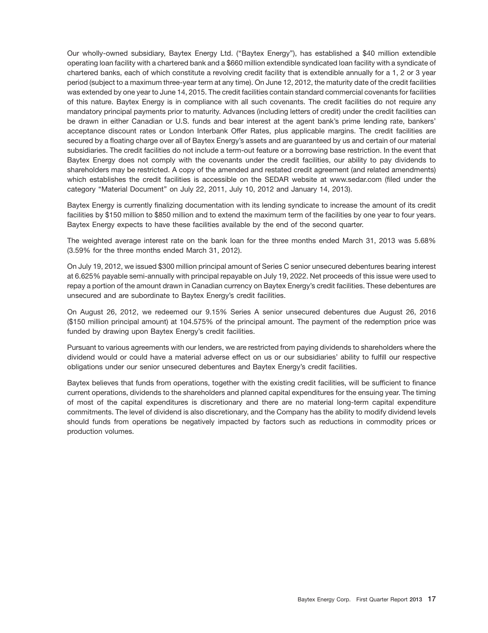Our wholly-owned subsidiary, Baytex Energy Ltd. (''Baytex Energy''), has established a \$40 million extendible operating loan facility with a chartered bank and a \$660 million extendible syndicated loan facility with a syndicate of chartered banks, each of which constitute a revolving credit facility that is extendible annually for a 1, 2 or 3 year period (subject to a maximum three-year term at any time). On June 12, 2012, the maturity date of the credit facilities was extended by one year to June 14, 2015. The credit facilities contain standard commercial covenants for facilities of this nature. Baytex Energy is in compliance with all such covenants. The credit facilities do not require any mandatory principal payments prior to maturity. Advances (including letters of credit) under the credit facilities can be drawn in either Canadian or U.S. funds and bear interest at the agent bank's prime lending rate, bankers' acceptance discount rates or London Interbank Offer Rates, plus applicable margins. The credit facilities are secured by a floating charge over all of Baytex Energy's assets and are guaranteed by us and certain of our material subsidiaries. The credit facilities do not include a term-out feature or a borrowing base restriction. In the event that Baytex Energy does not comply with the covenants under the credit facilities, our ability to pay dividends to shareholders may be restricted. A copy of the amended and restated credit agreement (and related amendments) which establishes the credit facilities is accessible on the SEDAR website at www.sedar.com (filed under the category ''Material Document'' on July 22, 2011, July 10, 2012 and January 14, 2013).

Baytex Energy is currently finalizing documentation with its lending syndicate to increase the amount of its credit facilities by \$150 million to \$850 million and to extend the maximum term of the facilities by one year to four years. Baytex Energy expects to have these facilities available by the end of the second quarter.

The weighted average interest rate on the bank loan for the three months ended March 31, 2013 was 5.68% (3.59% for the three months ended March 31, 2012).

On July 19, 2012, we issued \$300 million principal amount of Series C senior unsecured debentures bearing interest at 6.625% payable semi-annually with principal repayable on July 19, 2022. Net proceeds of this issue were used to repay a portion of the amount drawn in Canadian currency on Baytex Energy's credit facilities. These debentures are unsecured and are subordinate to Baytex Energy's credit facilities.

On August 26, 2012, we redeemed our 9.15% Series A senior unsecured debentures due August 26, 2016 (\$150 million principal amount) at 104.575% of the principal amount. The payment of the redemption price was funded by drawing upon Baytex Energy's credit facilities.

Pursuant to various agreements with our lenders, we are restricted from paying dividends to shareholders where the dividend would or could have a material adverse effect on us or our subsidiaries' ability to fulfill our respective obligations under our senior unsecured debentures and Baytex Energy's credit facilities.

Baytex believes that funds from operations, together with the existing credit facilities, will be sufficient to finance current operations, dividends to the shareholders and planned capital expenditures for the ensuing year. The timing of most of the capital expenditures is discretionary and there are no material long-term capital expenditure commitments. The level of dividend is also discretionary, and the Company has the ability to modify dividend levels should funds from operations be negatively impacted by factors such as reductions in commodity prices or production volumes.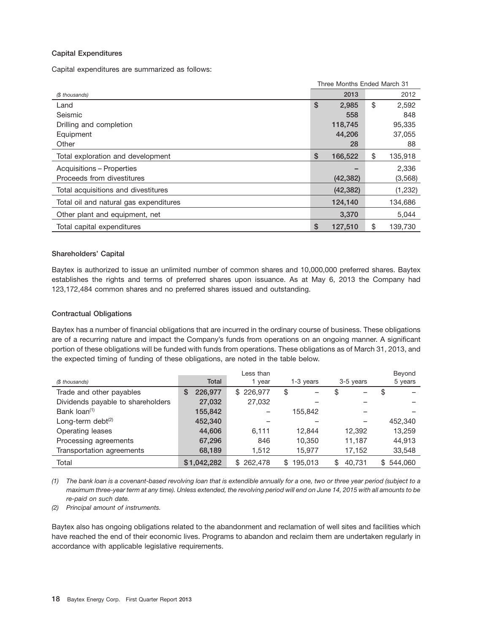#### **Capital Expenditures**

Capital expenditures are summarized as follows:

|                                        | Three Months Ended March 31 |               |
|----------------------------------------|-----------------------------|---------------|
| (\$ thousands)                         | 2013                        | 2012          |
| Land                                   | \$<br>2.985                 | \$<br>2,592   |
| Seismic                                | 558                         | 848           |
| Drilling and completion                | 118,745                     | 95,335        |
| Equipment                              | 44,206                      | 37,055        |
| Other                                  | 28                          | 88            |
| Total exploration and development      | \$<br>166,522               | \$<br>135,918 |
| Acquisitions – Properties              |                             | 2,336         |
| Proceeds from divestitures             | (42, 382)                   | (3, 568)      |
| Total acquisitions and divestitures    | (42, 382)                   | (1,232)       |
| Total oil and natural gas expenditures | 124,140                     | 134,686       |
| Other plant and equipment, net         | 3,370                       | 5,044         |
| Total capital expenditures             | \$<br>127,510               | \$<br>139.730 |

#### **Shareholders' Capital**

Baytex is authorized to issue an unlimited number of common shares and 10,000,000 preferred shares. Baytex establishes the rights and terms of preferred shares upon issuance. As at May 6, 2013 the Company had 123,172,484 common shares and no preferred shares issued and outstanding.

#### **Contractual Obligations**

Baytex has a number of financial obligations that are incurred in the ordinary course of business. These obligations are of a recurring nature and impact the Company's funds from operations on an ongoing manner. A significant portion of these obligations will be funded with funds from operations. These obligations as of March 31, 2013, and the expected timing of funding of these obligations, are noted in the table below.

|                                   |              | Less than      |               |             | Beyond    |
|-----------------------------------|--------------|----------------|---------------|-------------|-----------|
| (\$ thousands)                    | <b>Total</b> | 1 year         | 1-3 years     | 3-5 years   | 5 years   |
| Trade and other payables          | 226,977<br>S | \$226,977      | \$            | \$          |           |
| Dividends payable to shareholders | 27,032       | 27,032         |               |             |           |
| Bank loan <sup>(1)</sup>          | 155,842      |                | 155.842       |             |           |
| Long-term debt $(2)$              | 452,340      |                |               |             | 452,340   |
| Operating leases                  | 44,606       | 6.111          | 12.844        | 12.392      | 13,259    |
| Processing agreements             | 67,296       | 846            | 10.350        | 11.187      | 44,913    |
| Transportation agreements         | 68,189       | 1,512          | 15,977        | 17,152      | 33,548    |
| Total                             | \$1,042,282  | 262,478<br>\$. | 195.013<br>\$ | 40.731<br>S | \$544,060 |

*(1) The bank loan is a covenant-based revolving loan that is extendible annually for a one, two or three year period (subject to a maximum three-year term at any time). Unless extended, the revolving period will end on June 14, 2015 with all amounts to be re-paid on such date.*

*(2) Principal amount of instruments.*

Baytex also has ongoing obligations related to the abandonment and reclamation of well sites and facilities which have reached the end of their economic lives. Programs to abandon and reclaim them are undertaken regularly in accordance with applicable legislative requirements.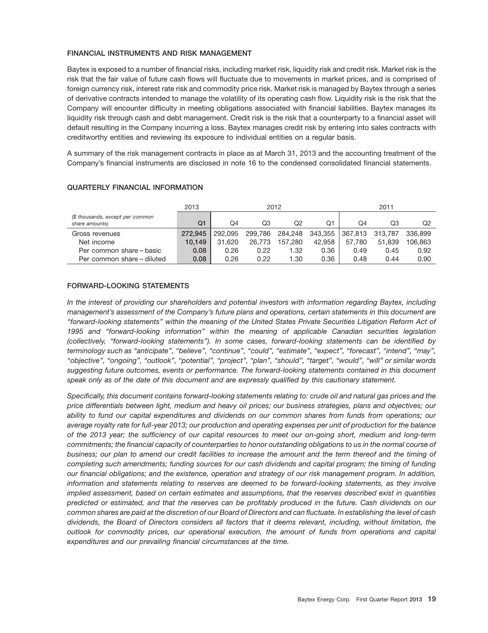#### **FINANCIAL INSTRUMENTS AND RISK MANAGEMENT**

Baytex is exposed to a number of financial risks, including market risk, liquidity risk and credit risk. Market risk is the risk that the fair value of future cash flows will fluctuate due to movements in market prices, and is comprised of foreign currency risk, interest rate risk and commodity price risk. Market risk is managed by Baytex through a series of derivative contracts intended to manage the volatility of its operating cash flow. Liquidity risk is the risk that the Company will encounter difficulty in meeting obligations associated with financial liabilities. Baytex manages its liquidity risk through cash and debt management. Credit risk is the risk that a counterparty to a financial asset will default resulting in the Company incurring a loss. Baytex manages credit risk by entering into sales contracts with creditworthy entities and reviewing its exposure to individual entities on a regular basis.

A summary of the risk management contracts in place as at March 31, 2013 and the accounting treatment of the Company's financial instruments are disclosed in note 16 to the condensed consolidated financial statements.

|                                                    | 2013    |         |         | 2012    |         |         | 2011    |         |
|----------------------------------------------------|---------|---------|---------|---------|---------|---------|---------|---------|
| (\$ thousands, except per common<br>share amounts) | Q1      | Q4      | Q3      | Q2      | Ο1      | O4      | Q3      | Q2      |
| Gross revenues                                     | 272.945 | 292,095 | 299.786 | 284.248 | 343.355 | 367.813 | 313.787 | 336.899 |
| Net income                                         | 10.149  | 31.620  | 26.773  | 157.280 | 42.958  | 57.780  | 51.839  | 106.863 |
| Per common share – basic                           | 0.08    | 0.26    | 0.22    | 1.32    | 0.36    | 0.49    | 0.45    | 0.92    |
| Per common share – diluted                         | 0.08    | 0.26    | 0.22    | 1.30    | 0.36    | 0.48    | 0.44    | 0.90    |

#### **QUARTERLY FINANCIAL INFORMATION**

#### **FORWARD-LOOKING STATEMENTS**

*In the interest of providing our shareholders and potential investors with information regarding Baytex, including management's assessment of the Company's future plans and operations, certain statements in this document are ''forward-looking statements'' within the meaning of the United States Private Securities Litigation Reform Act of 1995 and ''forward-looking information'' within the meaning of applicable Canadian securities legislation (collectively, ''forward-looking statements''). In some cases, forward-looking statements can be identified by terminology such as ''anticipate'', ''believe'', ''continue'', ''could'', ''estimate'', ''expect'', ''forecast'', ''intend'', ''may'', ''objective'', ''ongoing'', ''outlook'', ''potential'', ''project'', ''plan'', ''should'', ''target'', ''would'', ''will'' or similar words suggesting future outcomes, events or performance. The forward-looking statements contained in this document speak only as of the date of this document and are expressly qualified by this cautionary statement.*

*Specifically, this document contains forward-looking statements relating to: crude oil and natural gas prices and the price differentials between light, medium and heavy oil prices; our business strategies, plans and objectives; our ability to fund our capital expenditures and dividends on our common shares from funds from operations; our average royalty rate for full-year 2013; our production and operating expenses per unit of production for the balance of the 2013 year; the sufficiency of our capital resources to meet our on-going short, medium and long-term commitments; the financial capacity of counterparties to honor outstanding obligations to us in the normal course of business; our plan to amend our credit facilities to increase the amount and the term thereof and the timing of completing such amendments; funding sources for our cash dividends and capital program; the timing of funding our financial obligations; and the existence, operation and strategy of our risk management program. In addition, information and statements relating to reserves are deemed to be forward-looking statements, as they involve implied assessment, based on certain estimates and assumptions, that the reserves described exist in quantities predicted or estimated, and that the reserves can be profitably produced in the future. Cash dividends on our common shares are paid at the discretion of our Board of Directors and can fluctuate. In establishing the level of cash dividends, the Board of Directors considers all factors that it deems relevant, including, without limitation, the outlook for commodity prices, our operational execution, the amount of funds from operations and capital expenditures and our prevailing financial circumstances at the time.*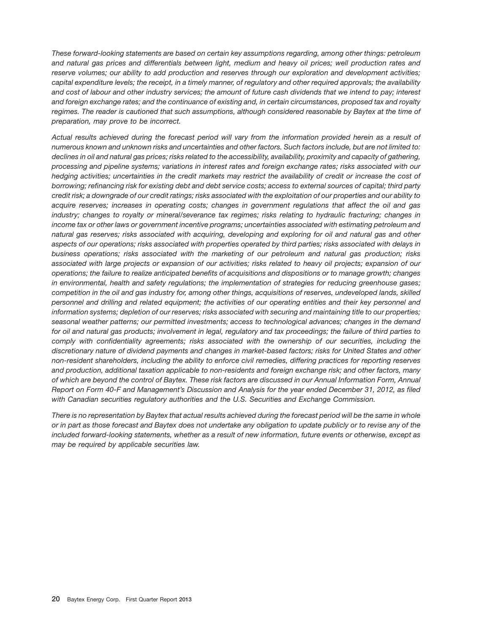*These forward-looking statements are based on certain key assumptions regarding, among other things: petroleum and natural gas prices and differentials between light, medium and heavy oil prices; well production rates and reserve volumes; our ability to add production and reserves through our exploration and development activities; capital expenditure levels; the receipt, in a timely manner, of regulatory and other required approvals; the availability and cost of labour and other industry services; the amount of future cash dividends that we intend to pay; interest and foreign exchange rates; and the continuance of existing and, in certain circumstances, proposed tax and royalty regimes. The reader is cautioned that such assumptions, although considered reasonable by Baytex at the time of preparation, may prove to be incorrect.*

*Actual results achieved during the forecast period will vary from the information provided herein as a result of numerous known and unknown risks and uncertainties and other factors. Such factors include, but are not limited to: declines in oil and natural gas prices; risks related to the accessibility, availability, proximity and capacity of gathering, processing and pipeline systems; variations in interest rates and foreign exchange rates; risks associated with our hedging activities; uncertainties in the credit markets may restrict the availability of credit or increase the cost of borrowing; refinancing risk for existing debt and debt service costs; access to external sources of capital; third party credit risk; a downgrade of our credit ratings; risks associated with the exploitation of our properties and our ability to acquire reserves; increases in operating costs; changes in government regulations that affect the oil and gas industry; changes to royalty or mineral/severance tax regimes; risks relating to hydraulic fracturing; changes in income tax or other laws or government incentive programs; uncertainties associated with estimating petroleum and natural gas reserves; risks associated with acquiring, developing and exploring for oil and natural gas and other aspects of our operations; risks associated with properties operated by third parties; risks associated with delays in business operations; risks associated with the marketing of our petroleum and natural gas production; risks associated with large projects or expansion of our activities; risks related to heavy oil projects; expansion of our operations; the failure to realize anticipated benefits of acquisitions and dispositions or to manage growth; changes in environmental, health and safety regulations; the implementation of strategies for reducing greenhouse gases; competition in the oil and gas industry for, among other things, acquisitions of reserves, undeveloped lands, skilled personnel and drilling and related equipment; the activities of our operating entities and their key personnel and information systems; depletion of our reserves; risks associated with securing and maintaining title to our properties; seasonal weather patterns; our permitted investments; access to technological advances; changes in the demand for oil and natural gas products; involvement in legal, regulatory and tax proceedings; the failure of third parties to comply with confidentiality agreements; risks associated with the ownership of our securities, including the discretionary nature of dividend payments and changes in market-based factors; risks for United States and other non-resident shareholders, including the ability to enforce civil remedies, differing practices for reporting reserves and production, additional taxation applicable to non-residents and foreign exchange risk; and other factors, many of which are beyond the control of Baytex. These risk factors are discussed in our Annual Information Form, Annual Report on Form 40-F and Management's Discussion and Analysis for the year ended December 31, 2012, as filed with Canadian securities regulatory authorities and the U.S. Securities and Exchange Commission.*

*There is no representation by Baytex that actual results achieved during the forecast period will be the same in whole or in part as those forecast and Baytex does not undertake any obligation to update publicly or to revise any of the included forward-looking statements, whether as a result of new information, future events or otherwise, except as may be required by applicable securities law.*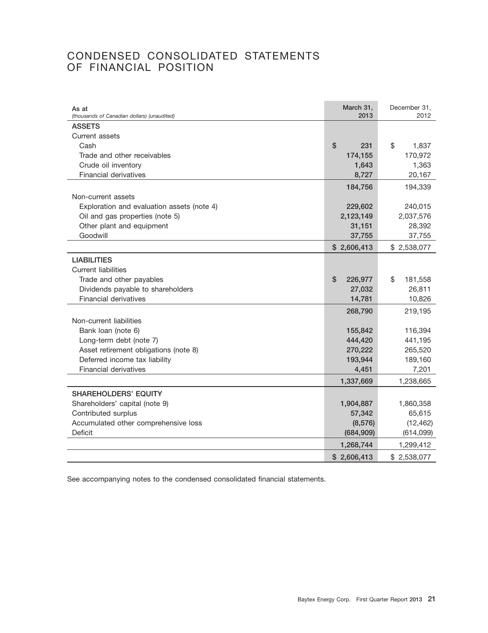## CONDENSED CONSOLIDATED STATEMENTS OF FINANCIAL POSITION

| As at<br>(thousands of Canadian dollars) (unaudited) | March 31,<br>2013 | December 31,<br>2012 |
|------------------------------------------------------|-------------------|----------------------|
| <b>ASSETS</b>                                        |                   |                      |
| Current assets                                       |                   |                      |
| Cash                                                 | \$<br>231         | \$<br>1,837          |
| Trade and other receivables                          | 174,155           | 170,972              |
| Crude oil inventory                                  | 1,643             | 1,363                |
| <b>Financial derivatives</b>                         | 8,727             | 20,167               |
|                                                      | 184,756           | 194,339              |
| Non-current assets                                   |                   |                      |
| Exploration and evaluation assets (note 4)           | 229,602           | 240,015              |
| Oil and gas properties (note 5)                      | 2,123,149         | 2,037,576            |
| Other plant and equipment                            | 31,151            | 28,392               |
| Goodwill                                             | 37,755            | 37,755               |
|                                                      | \$2,606,413       | \$2,538,077          |
| <b>LIABILITIES</b>                                   |                   |                      |
| <b>Current liabilities</b>                           |                   |                      |
| Trade and other payables                             | \$<br>226,977     | \$<br>181,558        |
| Dividends payable to shareholders                    | 27,032            | 26,811               |
| <b>Financial derivatives</b>                         | 14,781            | 10,826               |
|                                                      | 268,790           | 219,195              |
| Non-current liabilities                              |                   |                      |
| Bank loan (note 6)                                   | 155,842           | 116,394              |
| Long-term debt (note 7)                              | 444,420           | 441,195              |
| Asset retirement obligations (note 8)                | 270,222           | 265,520              |
| Deferred income tax liability                        | 193,944           | 189,160              |
| <b>Financial derivatives</b>                         | 4,451             | 7,201                |
|                                                      | 1,337,669         | 1,238,665            |
| <b>SHAREHOLDERS' EQUITY</b>                          |                   |                      |
| Shareholders' capital (note 9)                       | 1,904,887         | 1,860,358            |
| Contributed surplus                                  | 57,342            | 65,615               |
| Accumulated other comprehensive loss                 | (8,576)           | (12, 462)            |
| <b>Deficit</b>                                       | (684, 909)        | (614,099)            |
|                                                      | 1,268,744         | 1,299,412            |
|                                                      | \$2,606,413       | \$2,538,077          |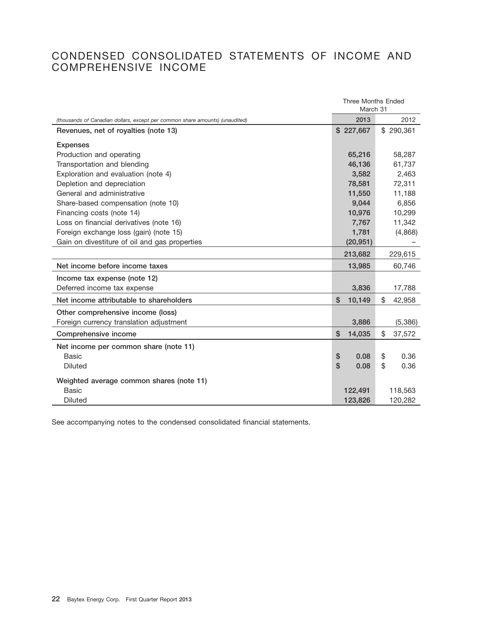# CONDENSED CONSOLIDATED STATEMENTS OF INCOME AND COMPREHENSIVE INCOME

|                                                                              | <b>Three Months Ended</b> |              |
|------------------------------------------------------------------------------|---------------------------|--------------|
|                                                                              | March 31                  |              |
| (thousands of Canadian dollars, except per common share amounts) (unaudited) | 2013                      | 2012         |
| Revenues, net of royalties (note 13)                                         | \$227,667                 | \$290,361    |
| <b>Expenses</b>                                                              |                           |              |
| Production and operating                                                     | 65,216                    | 58,287       |
| Transportation and blending                                                  | 46.136                    | 61,737       |
| Exploration and evaluation (note 4)                                          | 3,582                     | 2,463        |
| Depletion and depreciation                                                   | 78,581                    | 72,311       |
| General and administrative                                                   | 11,550                    | 11,188       |
| Share-based compensation (note 10)                                           | 9,044                     | 6,856        |
| Financing costs (note 14)                                                    | 10,976                    | 10,299       |
| Loss on financial derivatives (note 16)                                      | 7,767                     | 11,342       |
| Foreign exchange loss (gain) (note 15)                                       | 1,781                     | (4,868)      |
| Gain on divestiture of oil and gas properties                                | (20, 951)                 |              |
|                                                                              | 213,682                   | 229,615      |
| Net income before income taxes                                               | 13,985                    | 60,746       |
| Income tax expense (note 12)                                                 |                           |              |
| Deferred income tax expense                                                  | 3,836                     | 17,788       |
| Net income attributable to shareholders                                      | \$<br>10,149              | \$<br>42,958 |
| Other comprehensive income (loss)                                            |                           |              |
| Foreign currency translation adjustment                                      | 3,886                     | (5,386)      |
| Comprehensive income                                                         | \$<br>14,035              | \$<br>37,572 |
| Net income per common share (note 11)                                        |                           |              |
| <b>Basic</b>                                                                 | \$<br>0.08                | \$<br>0.36   |
| <b>Diluted</b>                                                               | $\mathfrak{L}$<br>0.08    | \$<br>0.36   |
| Weighted average common shares (note 11)                                     |                           |              |
| Basic                                                                        | 122,491                   | 118,563      |
| <b>Diluted</b>                                                               | 123,826                   | 120,282      |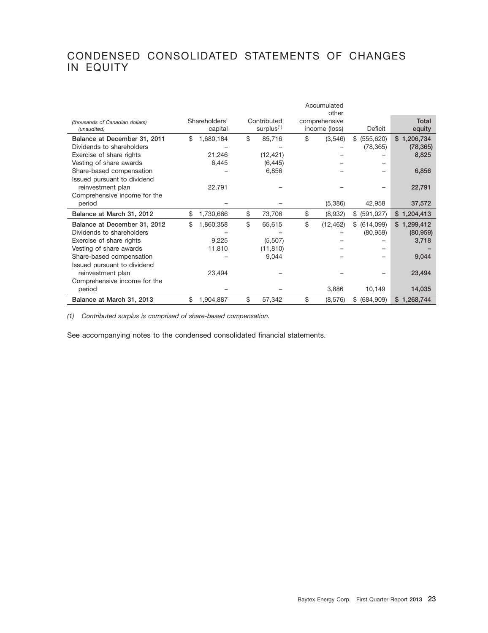# CONDENSED CONSOLIDATED STATEMENTS OF CHANGES IN EQUITY

|                                 |                 |                        | Accumulated<br>other |                  |              |
|---------------------------------|-----------------|------------------------|----------------------|------------------|--------------|
| (thousands of Canadian dollars) | Shareholders'   | Contributed            | comprehensive        |                  | <b>Total</b> |
| (unaudited)                     | capital         | surplus <sup>(1)</sup> | income (loss)        | Deficit          | equity       |
| Balance at December 31, 2011    | \$<br>1,680,184 | \$<br>85,716           | \$<br>(3,546)        | \$<br>(555, 620) | \$1,206,734  |
| Dividends to shareholders       |                 |                        |                      | (78, 365)        | (78, 365)    |
| Exercise of share rights        | 21,246          | (12, 421)              |                      |                  | 8,825        |
| Vesting of share awards         | 6,445           | (6, 445)               |                      |                  |              |
| Share-based compensation        |                 | 6,856                  |                      |                  | 6,856        |
| Issued pursuant to dividend     |                 |                        |                      |                  |              |
| reinvestment plan               | 22,791          |                        |                      |                  | 22,791       |
| Comprehensive income for the    |                 |                        |                      |                  |              |
| period                          |                 |                        | (5,386)              | 42,958           | 37,572       |
| Balance at March 31, 2012       | \$<br>1,730,666 | \$<br>73,706           | \$<br>(8,932)        | \$<br>(591, 027) | \$1,204,413  |
| Balance at December 31, 2012    | \$<br>1,860,358 | \$<br>65,615           | \$<br>(12, 462)      | \$ (614,099)     | \$1,299,412  |
| Dividends to shareholders       |                 |                        |                      | (80, 959)        | (80, 959)    |
| Exercise of share rights        | 9,225           | (5,507)                |                      |                  | 3,718        |
| Vesting of share awards         | 11,810          | (11, 810)              |                      |                  |              |
| Share-based compensation        |                 | 9,044                  |                      |                  | 9,044        |
| Issued pursuant to dividend     |                 |                        |                      |                  |              |
| reinvestment plan               | 23,494          |                        |                      |                  | 23,494       |
| Comprehensive income for the    |                 |                        |                      |                  |              |
| period                          |                 |                        | 3,886                | 10,149           | 14,035       |
| Balance at March 31, 2013       | \$<br>1,904,887 | \$<br>57,342           | \$<br>(8,576)        | (684,909)<br>\$  | \$1,268,744  |

*(1) Contributed surplus is comprised of share-based compensation.*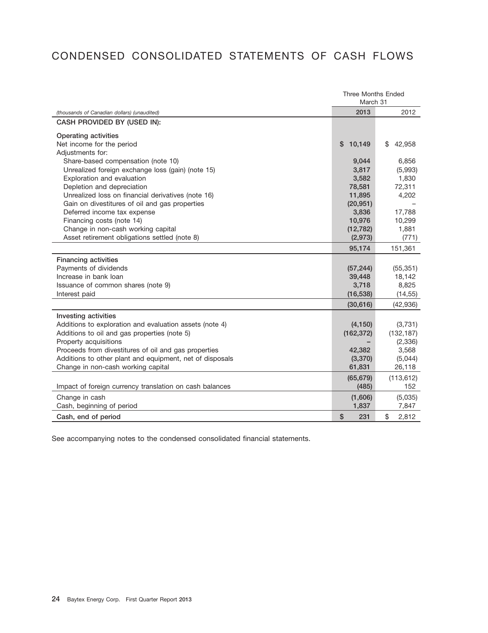# CONDENSED CONSOLIDATED STATEMENTS OF CASH FLOWS

|                                                          | <b>Three Months Ended</b><br>March 31 |                   |
|----------------------------------------------------------|---------------------------------------|-------------------|
| (thousands of Canadian dollars) (unaudited)              | 2013                                  | 2012              |
| CASH PROVIDED BY (USED IN):                              |                                       |                   |
| Operating activities                                     |                                       |                   |
| Net income for the period                                | 10,149<br>S                           | 42,958<br>\$      |
| Adjustments for:                                         |                                       |                   |
| Share-based compensation (note 10)                       | 9,044                                 | 6,856             |
| Unrealized foreign exchange loss (gain) (note 15)        | 3,817                                 | (5,993)           |
| Exploration and evaluation                               | 3,582                                 | 1,830             |
| Depletion and depreciation                               | 78,581                                | 72,311            |
| Unrealized loss on financial derivatives (note 16)       | 11,895                                | 4,202             |
| Gain on divestitures of oil and gas properties           | (20, 951)                             |                   |
| Deferred income tax expense                              | 3,836                                 | 17,788            |
| Financing costs (note 14)                                | 10,976                                | 10,299            |
| Change in non-cash working capital                       | (12, 782)                             | 1,881             |
| Asset retirement obligations settled (note 8)            | (2,973)                               | (771)             |
|                                                          | 95,174                                | 151,361           |
| <b>Financing activities</b>                              |                                       |                   |
| Payments of dividends                                    | (57, 244)                             | (55, 351)         |
| Increase in bank loan                                    | 39,448                                | 18,142            |
| Issuance of common shares (note 9)                       | 3,718                                 | 8,825             |
| Interest paid                                            | (16, 538)                             | (14, 55)          |
|                                                          | (30, 616)                             | (42, 936)         |
| Investing activities                                     |                                       |                   |
| Additions to exploration and evaluation assets (note 4)  | (4, 150)                              | (3,731)           |
| Additions to oil and gas properties (note 5)             | (162, 372)                            | (132, 187)        |
| Property acquisitions                                    |                                       | (2,336)           |
| Proceeds from divestitures of oil and gas properties     | 42,382                                | 3,568             |
| Additions to other plant and equipment, net of disposals | (3,370)                               | (5,044)           |
| Change in non-cash working capital                       | 61,831                                | 26,118            |
|                                                          |                                       |                   |
|                                                          | (65, 679)                             | (113, 612)<br>152 |
| Impact of foreign currency translation on cash balances  | (485)                                 |                   |
| Change in cash                                           | (1,606)                               | (5,035)           |
| Cash, beginning of period                                | 1,837                                 | 7,847             |
| Cash, end of period                                      | \$<br>231                             | \$<br>2,812       |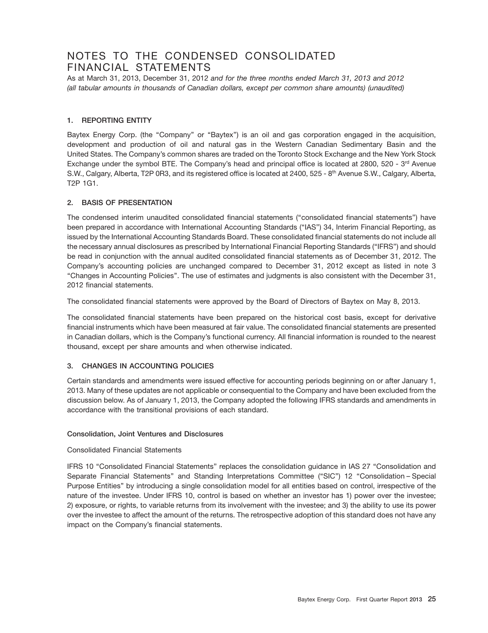# NOTES TO THE CONDENSED CONSOLIDATED FINANCIAL STATEMENTS

As at March 31, 2013, December 31, 2012 *and for the three months ended March 31, 2013 and 2012 (all tabular amounts in thousands of Canadian dollars, except per common share amounts) (unaudited)*

#### **1. REPORTING ENTITY**

Baytex Energy Corp. (the "Company" or "Baytex") is an oil and gas corporation engaged in the acquisition, development and production of oil and natural gas in the Western Canadian Sedimentary Basin and the United States. The Company's common shares are traded on the Toronto Stock Exchange and the New York Stock Exchange under the symbol BTE. The Company's head and principal office is located at 2800, 520 - 3rd Avenue S.W., Calgary, Alberta, T2P 0R3, and its registered office is located at 2400, 525 - 8<sup>th</sup> Avenue S.W., Calgary, Alberta, T2P 1G1.

#### **2. BASIS OF PRESENTATION**

The condensed interim unaudited consolidated financial statements (''consolidated financial statements'') have been prepared in accordance with International Accounting Standards (''IAS'') 34, Interim Financial Reporting, as issued by the International Accounting Standards Board. These consolidated financial statements do not include all the necessary annual disclosures as prescribed by International Financial Reporting Standards (''IFRS'') and should be read in conjunction with the annual audited consolidated financial statements as of December 31, 2012. The Company's accounting policies are unchanged compared to December 31, 2012 except as listed in note 3 ''Changes in Accounting Policies''. The use of estimates and judgments is also consistent with the December 31, 2012 financial statements.

The consolidated financial statements were approved by the Board of Directors of Baytex on May 8, 2013.

The consolidated financial statements have been prepared on the historical cost basis, except for derivative financial instruments which have been measured at fair value. The consolidated financial statements are presented in Canadian dollars, which is the Company's functional currency. All financial information is rounded to the nearest thousand, except per share amounts and when otherwise indicated.

#### **3. CHANGES IN ACCOUNTING POLICIES**

Certain standards and amendments were issued effective for accounting periods beginning on or after January 1, 2013. Many of these updates are not applicable or consequential to the Company and have been excluded from the discussion below. As of January 1, 2013, the Company adopted the following IFRS standards and amendments in accordance with the transitional provisions of each standard.

#### **Consolidation, Joint Ventures and Disclosures**

#### Consolidated Financial Statements

IFRS 10 ''Consolidated Financial Statements'' replaces the consolidation guidance in IAS 27 ''Consolidation and Separate Financial Statements'' and Standing Interpretations Committee (''SIC'') 12 ''Consolidation – Special Purpose Entities'' by introducing a single consolidation model for all entities based on control, irrespective of the nature of the investee. Under IFRS 10, control is based on whether an investor has 1) power over the investee; 2) exposure, or rights, to variable returns from its involvement with the investee; and 3) the ability to use its power over the investee to affect the amount of the returns. The retrospective adoption of this standard does not have any impact on the Company's financial statements.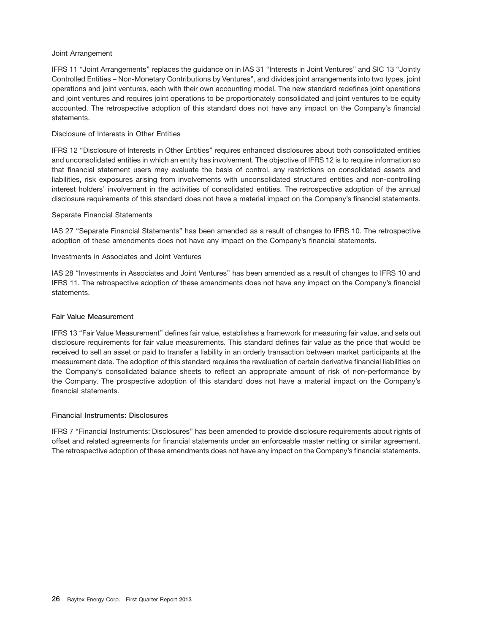#### Joint Arrangement

IFRS 11 ''Joint Arrangements'' replaces the guidance on in IAS 31 ''Interests in Joint Ventures'' and SIC 13 ''Jointly Controlled Entities – Non-Monetary Contributions by Ventures'', and divides joint arrangements into two types, joint operations and joint ventures, each with their own accounting model. The new standard redefines joint operations and joint ventures and requires joint operations to be proportionately consolidated and joint ventures to be equity accounted. The retrospective adoption of this standard does not have any impact on the Company's financial statements.

#### Disclosure of Interests in Other Entities

IFRS 12 ''Disclosure of Interests in Other Entities'' requires enhanced disclosures about both consolidated entities and unconsolidated entities in which an entity has involvement. The objective of IFRS 12 is to require information so that financial statement users may evaluate the basis of control, any restrictions on consolidated assets and liabilities, risk exposures arising from involvements with unconsolidated structured entities and non-controlling interest holders' involvement in the activities of consolidated entities. The retrospective adoption of the annual disclosure requirements of this standard does not have a material impact on the Company's financial statements.

#### Separate Financial Statements

IAS 27 ''Separate Financial Statements'' has been amended as a result of changes to IFRS 10. The retrospective adoption of these amendments does not have any impact on the Company's financial statements.

#### Investments in Associates and Joint Ventures

IAS 28 ''Investments in Associates and Joint Ventures'' has been amended as a result of changes to IFRS 10 and IFRS 11. The retrospective adoption of these amendments does not have any impact on the Company's financial statements.

#### **Fair Value Measurement**

IFRS 13 ''Fair Value Measurement'' defines fair value, establishes a framework for measuring fair value, and sets out disclosure requirements for fair value measurements. This standard defines fair value as the price that would be received to sell an asset or paid to transfer a liability in an orderly transaction between market participants at the measurement date. The adoption of this standard requires the revaluation of certain derivative financial liabilities on the Company's consolidated balance sheets to reflect an appropriate amount of risk of non-performance by the Company. The prospective adoption of this standard does not have a material impact on the Company's financial statements.

#### **Financial Instruments: Disclosures**

IFRS 7 ''Financial Instruments: Disclosures'' has been amended to provide disclosure requirements about rights of offset and related agreements for financial statements under an enforceable master netting or similar agreement. The retrospective adoption of these amendments does not have any impact on the Company's financial statements.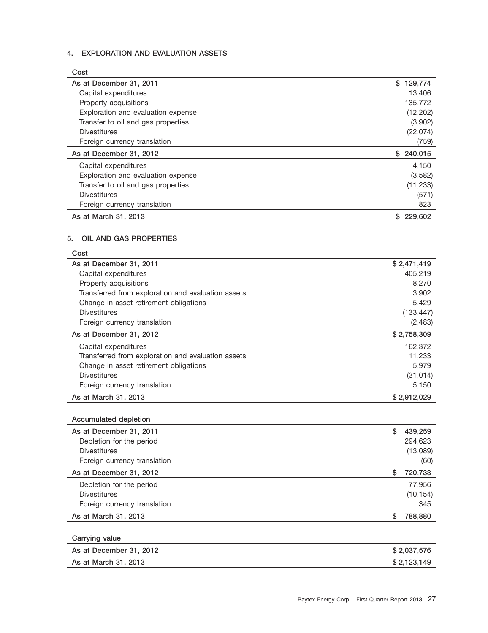### **4. EXPLORATION AND EVALUATION ASSETS**

| Cost                               |               |
|------------------------------------|---------------|
| As at December 31, 2011            | S.<br>129,774 |
| Capital expenditures               | 13,406        |
| Property acquisitions              | 135,772       |
| Exploration and evaluation expense | (12, 202)     |
| Transfer to oil and gas properties | (3,902)       |
| <b>Divestitures</b>                | (22,074)      |
| Foreign currency translation       | (759)         |
| As at December 31, 2012            | \$240,015     |
| Capital expenditures               | 4,150         |
| Exploration and evaluation expense | (3,582)       |
| Transfer to oil and gas properties | (11, 233)     |
|                                    |               |
| <b>Divestitures</b>                | (571)         |
| Foreign currency translation       | 823           |

#### **5. OIL AND GAS PROPERTIES**

**Cost**

| As at December 31, 2011                            | \$2,471,419 |
|----------------------------------------------------|-------------|
| Capital expenditures                               | 405,219     |
| Property acquisitions                              | 8,270       |
| Transferred from exploration and evaluation assets | 3,902       |
| Change in asset retirement obligations             | 5.429       |
| Divestitures                                       | (133, 447)  |
| Foreign currency translation                       | (2,483)     |
| As at December 31, 2012                            | \$2,758,309 |
| Capital expenditures                               | 162,372     |
| Transferred from exploration and evaluation assets | 11.233      |
| Change in asset retirement obligations             | 5.979       |
| <b>Divestitures</b>                                | (31, 014)   |
| Foreign currency translation                       | 5,150       |
| As at March 31, 2013                               | \$2.912.029 |

#### **Accumulated depletion**

| As at December 31, 2011      | S | 439.259   |
|------------------------------|---|-----------|
| Depletion for the period     |   | 294.623   |
| <b>Divestitures</b>          |   | (13,089)  |
| Foreign currency translation |   | (60)      |
| As at December 31, 2012      | S | 720,733   |
| Depletion for the period     |   | 77.956    |
| <b>Divestitures</b>          |   | (10, 154) |
| Foreign currency translation |   | 345       |
| As at March 31, 2013         | S | 788,880   |

| Carrying value |  |
|----------------|--|
|                |  |

| As at December 31, 2012 | \$2,037,576 |
|-------------------------|-------------|
| As at March 31, 2013    | \$2,123,149 |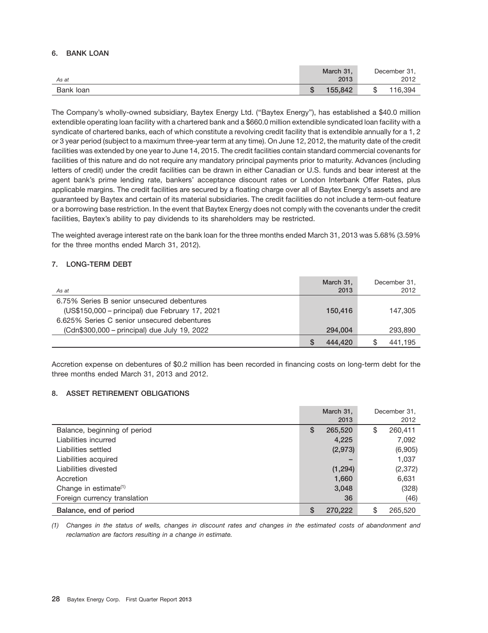#### **6. BANK LOAN**

| As at     | March 31,<br>2013 | December 31,<br>2012 |
|-----------|-------------------|----------------------|
| Bank loan | 155.842<br>w      | 116,394<br>ง         |

The Company's wholly-owned subsidiary, Baytex Energy Ltd. (''Baytex Energy''), has established a \$40.0 million extendible operating loan facility with a chartered bank and a \$660.0 million extendible syndicated loan facility with a syndicate of chartered banks, each of which constitute a revolving credit facility that is extendible annually for a 1, 2 or 3 year period (subject to a maximum three-year term at any time). On June 12, 2012, the maturity date of the credit facilities was extended by one year to June 14, 2015. The credit facilities contain standard commercial covenants for facilities of this nature and do not require any mandatory principal payments prior to maturity. Advances (including letters of credit) under the credit facilities can be drawn in either Canadian or U.S. funds and bear interest at the agent bank's prime lending rate, bankers' acceptance discount rates or London Interbank Offer Rates, plus applicable margins. The credit facilities are secured by a floating charge over all of Baytex Energy's assets and are guaranteed by Baytex and certain of its material subsidiaries. The credit facilities do not include a term-out feature or a borrowing base restriction. In the event that Baytex Energy does not comply with the covenants under the credit facilities, Baytex's ability to pay dividends to its shareholders may be restricted.

The weighted average interest rate on the bank loan for the three months ended March 31, 2013 was 5.68% (3.59% for the three months ended March 31, 2012).

#### **7. LONG-TERM DEBT**

| As at                                           | March 31,<br>2013 | December 31.<br>2012 |
|-------------------------------------------------|-------------------|----------------------|
| 6.75% Series B senior unsecured debentures      |                   |                      |
| (US\$150,000 - principal) due February 17, 2021 | 150,416           | 147.305              |
| 6.625% Series C senior unsecured debentures     |                   |                      |
| (Cdn\$300,000 – principal) due July 19, 2022    | 294,004           | 293,890              |
|                                                 | 444.420           | 441.195              |

Accretion expense on debentures of \$0.2 million has been recorded in financing costs on long-term debt for the three months ended March 31, 2013 and 2012.

#### **8. ASSET RETIREMENT OBLIGATIONS**

|                              | March 31,<br>2013 | December 31.<br>2012 |
|------------------------------|-------------------|----------------------|
| Balance, beginning of period | \$<br>265,520     | \$<br>260,411        |
| Liabilities incurred         | 4,225             | 7,092                |
| Liabilities settled          | (2,973)           | (6,905)              |
| Liabilities acquired         |                   | 1,037                |
| Liabilities divested         | (1, 294)          | (2, 372)             |
| Accretion                    | 1,660             | 6,631                |
| Change in estimate $(1)$     | 3,048             | (328)                |
| Foreign currency translation | 36                | (46)                 |
| Balance, end of period       | \$<br>270.222     | \$<br>265,520        |

*(1) Changes in the status of wells, changes in discount rates and changes in the estimated costs of abandonment and reclamation are factors resulting in a change in estimate.*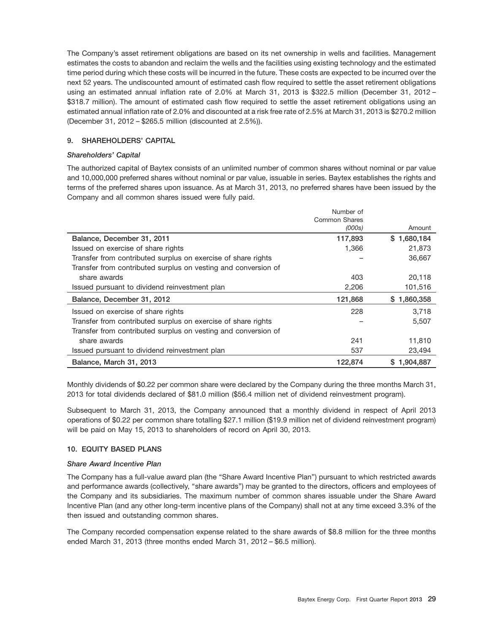The Company's asset retirement obligations are based on its net ownership in wells and facilities. Management estimates the costs to abandon and reclaim the wells and the facilities using existing technology and the estimated time period during which these costs will be incurred in the future. These costs are expected to be incurred over the next 52 years. The undiscounted amount of estimated cash flow required to settle the asset retirement obligations using an estimated annual inflation rate of 2.0% at March 31, 2013 is \$322.5 million (December 31, 2012 – \$318.7 million). The amount of estimated cash flow required to settle the asset retirement obligations using an estimated annual inflation rate of 2.0% and discounted at a risk free rate of 2.5% at March 31, 2013 is \$270.2 million (December 31, 2012 – \$265.5 million (discounted at 2.5%)).

#### **9. SHAREHOLDERS' CAPITAL**

#### *Shareholders' Capital*

The authorized capital of Baytex consists of an unlimited number of common shares without nominal or par value and 10,000,000 preferred shares without nominal or par value, issuable in series. Baytex establishes the rights and terms of the preferred shares upon issuance. As at March 31, 2013, no preferred shares have been issued by the Company and all common shares issued were fully paid.

|                                                                | Number of     |             |
|----------------------------------------------------------------|---------------|-------------|
|                                                                | Common Shares |             |
|                                                                | (000s)        | Amount      |
| Balance, December 31, 2011                                     | 117,893       | \$1,680,184 |
| Issued on exercise of share rights                             | 1,366         | 21,873      |
| Transfer from contributed surplus on exercise of share rights  |               | 36,667      |
| Transfer from contributed surplus on vesting and conversion of |               |             |
| share awards                                                   | 403           | 20,118      |
| Issued pursuant to dividend reinvestment plan                  | 2,206         | 101,516     |
| Balance, December 31, 2012                                     | 121,868       | \$1,860,358 |
| Issued on exercise of share rights                             | 228           | 3,718       |
| Transfer from contributed surplus on exercise of share rights  |               | 5,507       |
| Transfer from contributed surplus on vesting and conversion of |               |             |
| share awards                                                   | 241           | 11,810      |
| Issued pursuant to dividend reinvestment plan                  | 537           | 23,494      |
| Balance, March 31, 2013                                        | 122,874       | \$1,904,887 |

Monthly dividends of \$0.22 per common share were declared by the Company during the three months March 31, 2013 for total dividends declared of \$81.0 million (\$56.4 million net of dividend reinvestment program).

Subsequent to March 31, 2013, the Company announced that a monthly dividend in respect of April 2013 operations of \$0.22 per common share totalling \$27.1 million (\$19.9 million net of dividend reinvestment program) will be paid on May 15, 2013 to shareholders of record on April 30, 2013.

#### **10. EQUITY BASED PLANS**

#### *Share Award Incentive Plan*

The Company has a full-value award plan (the ''Share Award Incentive Plan'') pursuant to which restricted awards and performance awards (collectively, ''share awards'') may be granted to the directors, officers and employees of the Company and its subsidiaries. The maximum number of common shares issuable under the Share Award Incentive Plan (and any other long-term incentive plans of the Company) shall not at any time exceed 3.3% of the then issued and outstanding common shares.

The Company recorded compensation expense related to the share awards of \$8.8 million for the three months ended March 31, 2013 (three months ended March 31, 2012 – \$6.5 million).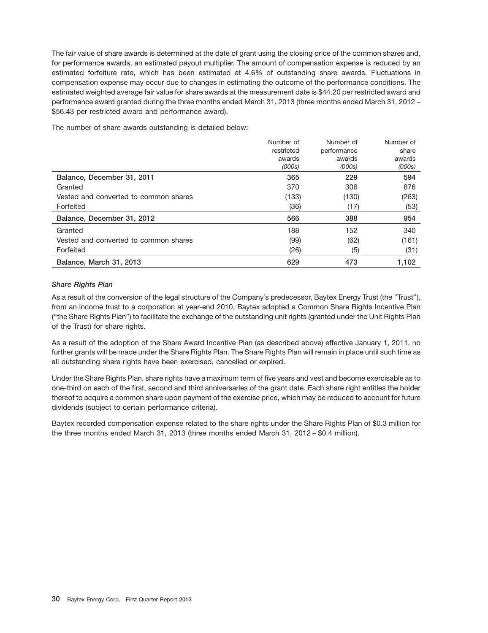The fair value of share awards is determined at the date of grant using the closing price of the common shares and, for performance awards, an estimated payout multiplier. The amount of compensation expense is reduced by an estimated forfeiture rate, which has been estimated at 4.6% of outstanding share awards. Fluctuations in compensation expense may occur due to changes in estimating the outcome of the performance conditions. The estimated weighted average fair value for share awards at the measurement date is \$44.20 per restricted award and performance award granted during the three months ended March 31, 2013 (three months ended March 31, 2012 – \$56.43 per restricted award and performance award).

The number of share awards outstanding is detailed below:

|                                       | Number of  | Number of   | Number of |
|---------------------------------------|------------|-------------|-----------|
|                                       | restricted | performance | share     |
|                                       | awards     | awards      | awards    |
|                                       | (000s)     | (000s)      | (000s)    |
| Balance, December 31, 2011            | 365        | 229         | 594       |
| Granted                               | 370        | 306         | 676       |
| Vested and converted to common shares | (133)      | (130)       | (263)     |
| Forfeited                             | (36)       | (17)        | (53)      |
| Balance, December 31, 2012            | 566        | 388         | 954       |
| Granted                               | 188        | 152         | 340       |
| Vested and converted to common shares | (99)       | (62)        | (161)     |
| Forfeited                             | (26)       | (5)         | (31)      |
| Balance, March 31, 2013               | 629        | 473         | 1,102     |

#### *Share Rights Plan*

As a result of the conversion of the legal structure of the Company's predecessor, Baytex Energy Trust (the "Trust"), from an income trust to a corporation at year-end 2010, Baytex adopted a Common Share Rights Incentive Plan (''the Share Rights Plan'') to facilitate the exchange of the outstanding unit rights (granted under the Unit Rights Plan of the Trust) for share rights.

As a result of the adoption of the Share Award Incentive Plan (as described above) effective January 1, 2011, no further grants will be made under the Share Rights Plan. The Share Rights Plan will remain in place until such time as all outstanding share rights have been exercised, cancelled or expired.

Under the Share Rights Plan, share rights have a maximum term of five years and vest and become exercisable as to one-third on each of the first, second and third anniversaries of the grant date. Each share right entitles the holder thereof to acquire a common share upon payment of the exercise price, which may be reduced to account for future dividends (subject to certain performance criteria).

Baytex recorded compensation expense related to the share rights under the Share Rights Plan of \$0.3 million for the three months ended March 31, 2013 (three months ended March 31, 2012 – \$0.4 million).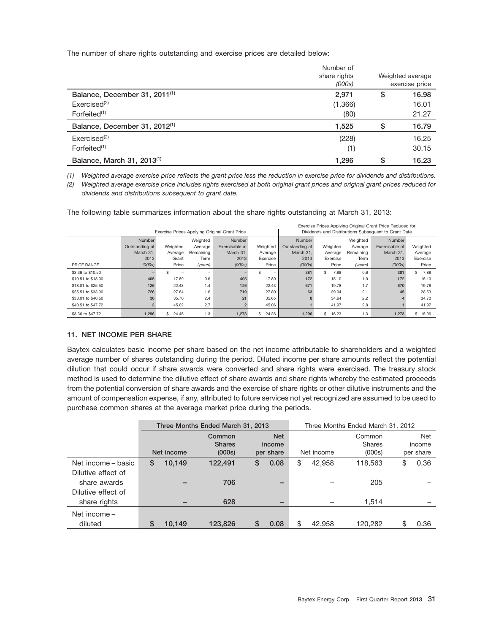The number of share rights outstanding and exercise prices are detailed below:

|                                           | Number of    |    |                  |
|-------------------------------------------|--------------|----|------------------|
|                                           | share rights |    | Weighted average |
|                                           | (000s)       |    | exercise price   |
| Balance, December 31, 2011 <sup>(1)</sup> | 2,971        | S  | 16.98            |
| Exercise d <sup>(2)</sup>                 | (1,366)      |    | 16.01            |
| Forfeited $(1)$                           | (80)         |    | 21.27            |
| Balance, December 31, 2012 <sup>(1)</sup> | 1,525        | \$ | 16.79            |
| Exercise d <sup>(2)</sup>                 | (228)        |    | 16.25            |
| Forfeited $(1)$                           | (1)          |    | 30.15            |
| Balance, March 31, 2013 <sup>(1)</sup>    | 1.296        | S  | 16.23            |

*(1) Weighted average exercise price reflects the grant price less the reduction in exercise price for dividends and distributions.*

*(2) Weighted average exercise price includes rights exercised at both original grant prices and original grant prices reduced for dividends and distributions subsequent to grant date.*

The following table summarizes information about the share rights outstanding at March 31, 2013:

|                    |                |                          |           |                                               | Exercise Prices Applying Original Grant Price Reduced for |                |             |           |                                                      |            |
|--------------------|----------------|--------------------------|-----------|-----------------------------------------------|-----------------------------------------------------------|----------------|-------------|-----------|------------------------------------------------------|------------|
|                    |                |                          |           | Exercise Prices Applying Original Grant Price |                                                           |                |             |           | Dividends and Distributions Subsequent to Grant Date |            |
|                    | Number         |                          | Weighted  | Number                                        |                                                           | Number         |             | Weighted  | Number                                               |            |
|                    | Outstanding at | Weighted                 | Average   | Exercisable at                                | Weighted                                                  | Outstanding at | Weighted    | Average   | Exercisable at                                       | Weighted   |
|                    | March 31.      | Average                  | Remaining | March 31.                                     | Average                                                   | March 31.      | Average     | Remaining | March 31.                                            | Average    |
|                    | 2013           | Grant                    | Term      | 2013                                          | Exercise                                                  | 2013           | Exercise    | Term      | 2013                                                 | Exercise   |
| PRICE RANGE        | (000s)         | Price                    | (years)   | (000s)                                        | Price                                                     | (000s)         | Price       | (years)   | (000s)                                               | Price      |
| \$3.36 to \$10.50  |                | $\overline{\phantom{0}}$ |           |                                               | \$.                                                       | 381            | 7.88<br>\$  | 0.6       | 381                                                  | 7.88<br>\$ |
| \$10.51 to \$18.00 | 405            | 17.89                    | 0.6       | 405                                           | 17.89                                                     | 172            | 15.10       | 1.0       | 172                                                  | 15.10      |
| \$18.01 to \$25.50 | 126            | 22.43                    | 1.4       | 126                                           | 22.43                                                     | 671            | 19.78       | 1.7       | 670                                                  | 19.78      |
| \$25.51 to \$33.00 | 726            | 27.84                    | 1.6       | 719                                           | 27.80                                                     | 63             | 29.04       | 2.1       | 45                                                   | 28.53      |
| \$33.01 to \$40.50 | 36             | 35.70                    | 2.4       | 21                                            | 35.65                                                     |                | 34.64       | 2.2       |                                                      | 34.70      |
| \$40.51 to \$47.72 |                | 45.02                    | 2.7       |                                               | 45.06                                                     |                | 41.97       | 2.8       |                                                      | 41.97      |
| \$3.36 to \$47.72  | 1,296          | \$<br>24.45              | 1.3       | 1,273                                         | 24.26<br>\$                                               | 1,296          | \$<br>16.23 | 1.3       | 1,273                                                | \$15.96    |

#### **11. NET INCOME PER SHARE**

Baytex calculates basic income per share based on the net income attributable to shareholders and a weighted average number of shares outstanding during the period. Diluted income per share amounts reflect the potential dilution that could occur if share awards were converted and share rights were exercised. The treasury stock method is used to determine the dilutive effect of share awards and share rights whereby the estimated proceeds from the potential conversion of share awards and the exercise of share rights or other dilutive instruments and the amount of compensation expense, if any, attributed to future services not yet recognized are assumed to be used to purchase common shares at the average market price during the periods.

|                    | Three Months Ended March 31, 2013 |        |                                   |    |                                   |    |            | Three Months Ended March 31, 2012 |                                   |
|--------------------|-----------------------------------|--------|-----------------------------------|----|-----------------------------------|----|------------|-----------------------------------|-----------------------------------|
|                    | Net income                        |        | Common<br><b>Shares</b><br>(000s) |    | <b>Net</b><br>income<br>per share |    | Net income | Common<br>Shares<br>(000s)        | <b>Net</b><br>income<br>per share |
| Net income – basic | S                                 | 10,149 | 122,491                           | \$ | 0.08                              | \$ | 42,958     | 118,563                           | \$<br>0.36                        |
| Dilutive effect of |                                   |        |                                   |    |                                   |    |            |                                   |                                   |
| share awards       |                                   |        | 706                               |    | -                                 |    |            | 205                               |                                   |
| Dilutive effect of |                                   |        |                                   |    |                                   |    |            |                                   |                                   |
| share rights       |                                   |        | 628                               |    | -                                 |    |            | 1,514                             |                                   |
| Net income -       |                                   |        |                                   |    |                                   |    |            |                                   |                                   |
| diluted            | S                                 | 10.149 | 123,826                           | S  | 0.08                              |    | 42,958     | 120.282                           | \$<br>0.36                        |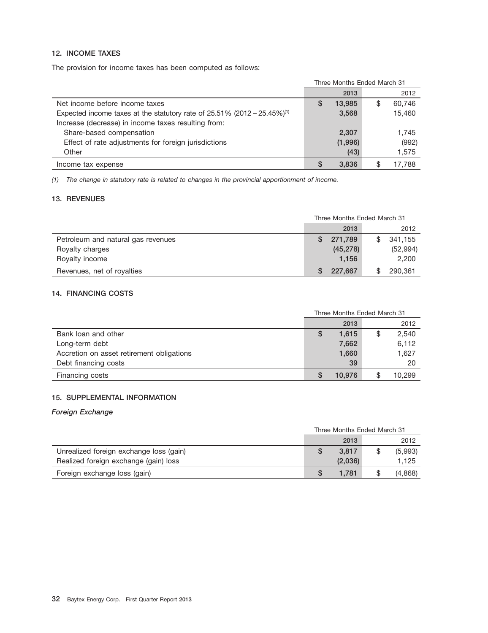### **12. INCOME TAXES**

The provision for income taxes has been computed as follows:

|                                                                                             | Three Months Ended March 31 |         |   |        |
|---------------------------------------------------------------------------------------------|-----------------------------|---------|---|--------|
|                                                                                             |                             | 2013    |   | 2012   |
| Net income before income taxes                                                              | S                           | 13,985  | S | 60,746 |
| Expected income taxes at the statutory rate of $25.51\%$ (2012 - $25.45\%$ ) <sup>(1)</sup> |                             | 3,568   |   | 15,460 |
| Increase (decrease) in income taxes resulting from:                                         |                             |         |   |        |
| Share-based compensation                                                                    |                             | 2,307   |   | 1.745  |
| Effect of rate adjustments for foreign jurisdictions                                        |                             | (1,996) |   | (992)  |
| Other                                                                                       |                             | (43)    |   | 1,575  |
| Income tax expense                                                                          | \$.                         | 3.836   | S | 17.788 |

*(1) The change in statutory rate is related to changes in the provincial apportionment of income.*

#### **13. REVENUES**

|                                    | Three Months Ended March 31 |           |  |           |
|------------------------------------|-----------------------------|-----------|--|-----------|
|                                    |                             | 2013      |  | 2012      |
| Petroleum and natural gas revenues |                             | 271,789   |  | 341.155   |
| Royalty charges                    |                             | (45, 278) |  | (52, 994) |
| Royalty income                     |                             | 1.156     |  | 2,200     |
| Revenues, net of royalties         |                             | 227.667   |  | 290.361   |

### **14. FINANCING COSTS**

|                                           | Three Months Ended March 31 |        |    |        |
|-------------------------------------------|-----------------------------|--------|----|--------|
|                                           |                             | 2013   |    | 2012   |
| Bank loan and other                       | S                           | 1,615  | \$ | 2,540  |
| Long-term debt                            |                             | 7,662  |    | 6,112  |
| Accretion on asset retirement obligations |                             | 1,660  |    | 1,627  |
| Debt financing costs                      |                             | 39     |    | 20     |
| Financing costs                           | S                           | 10,976 |    | 10,299 |

#### **15. SUPPLEMENTAL INFORMATION**

### *Foreign Exchange*

|                                         | Three Months Ended March 31 |         |  |         |
|-----------------------------------------|-----------------------------|---------|--|---------|
|                                         |                             | 2013    |  | 2012    |
| Unrealized foreign exchange loss (gain) | S                           | 3.817   |  | (5,993) |
| Realized foreign exchange (gain) loss   |                             | (2,036) |  | 1,125   |
| Foreign exchange loss (gain)            |                             | 1.781   |  | (4,868) |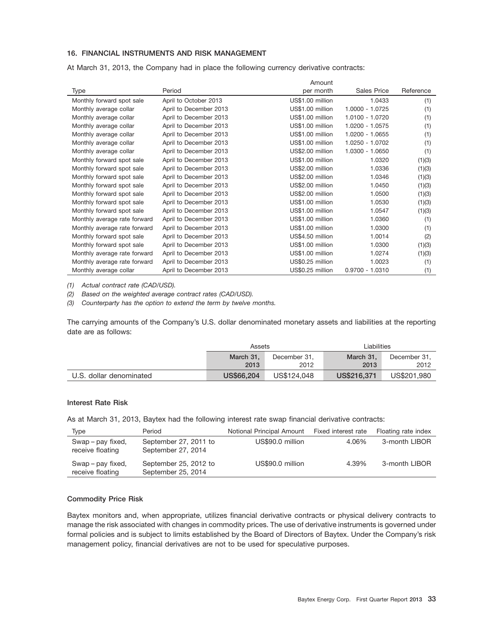#### **16. FINANCIAL INSTRUMENTS AND RISK MANAGEMENT**

At March 31, 2013, the Company had in place the following currency derivative contracts:

|                              |                        | Amount           |                   |           |
|------------------------------|------------------------|------------------|-------------------|-----------|
| Type                         | Period                 | per month        | Sales Price       | Reference |
| Monthly forward spot sale    | April to October 2013  | US\$1.00 million | 1.0433            | (1)       |
| Monthly average collar       | April to December 2013 | US\$1.00 million | 1.0000 - 1.0725   | (1)       |
| Monthly average collar       | April to December 2013 | US\$1.00 million | 1.0100 - 1.0720   | (1)       |
| Monthly average collar       | April to December 2013 | US\$1.00 million | 1.0200 - 1.0575   | (1)       |
| Monthly average collar       | April to December 2013 | US\$1.00 million | 1.0200 - 1.0655   | (1)       |
| Monthly average collar       | April to December 2013 | US\$1.00 million | 1.0250 - 1.0702   | (1)       |
| Monthly average collar       | April to December 2013 | US\$2.00 million | 1.0300 - 1.0650   | (1)       |
| Monthly forward spot sale    | April to December 2013 | US\$1.00 million | 1.0320            | (1)(3)    |
| Monthly forward spot sale    | April to December 2013 | US\$2.00 million | 1.0336            | (1)(3)    |
| Monthly forward spot sale    | April to December 2013 | US\$2.00 million | 1.0346            | (1)(3)    |
| Monthly forward spot sale    | April to December 2013 | US\$2.00 million | 1.0450            | (1)(3)    |
| Monthly forward spot sale    | April to December 2013 | US\$2.00 million | 1.0500            | (1)(3)    |
| Monthly forward spot sale    | April to December 2013 | US\$1.00 million | 1.0530            | (1)(3)    |
| Monthly forward spot sale    | April to December 2013 | US\$1.00 million | 1.0547            | (1)(3)    |
| Monthly average rate forward | April to December 2013 | US\$1.00 million | 1.0360            | (1)       |
| Monthly average rate forward | April to December 2013 | US\$1.00 million | 1.0300            | (1)       |
| Monthly forward spot sale    | April to December 2013 | US\$4.50 million | 1.0014            | (2)       |
| Monthly forward spot sale    | April to December 2013 | US\$1.00 million | 1.0300            | (1)(3)    |
| Monthly average rate forward | April to December 2013 | US\$1.00 million | 1.0274            | (1)(3)    |
| Monthly average rate forward | April to December 2013 | US\$0.25 million | 1.0023            | (1)       |
| Monthly average collar       | April to December 2013 | US\$0.25 million | $0.9700 - 1.0310$ | (1)       |

*(1) Actual contract rate (CAD/USD).*

*(2) Based on the weighted average contract rates (CAD/USD).*

*(3) Counterparty has the option to extend the term by twelve months.*

The carrying amounts of the Company's U.S. dollar denominated monetary assets and liabilities at the reporting date are as follows:

|                         | Assets            |              | Liabilities |              |  |
|-------------------------|-------------------|--------------|-------------|--------------|--|
|                         | March 31.         | December 31. | March 31.   | December 31. |  |
|                         | 2013              | 2012         | 2013        | 2012         |  |
| U.S. dollar denominated | <b>US\$66,204</b> | US\$124.048  | US\$216,371 | US\$201.980  |  |

#### **Interest Rate Risk**

As at March 31, 2013, Baytex had the following interest rate swap financial derivative contracts:

| Type                                  | Period                                      | Notional Principal Amount | Fixed interest rate | Floating rate index |
|---------------------------------------|---------------------------------------------|---------------------------|---------------------|---------------------|
| Swap – pay fixed,<br>receive floating | September 27, 2011 to<br>September 27, 2014 | US\$90.0 million          | 4.06%               | 3-month LIBOR       |
| Swap – pay fixed,<br>receive floating | September 25, 2012 to<br>September 25, 2014 | US\$90.0 million          | 4.39%               | 3-month LIBOR       |

#### **Commodity Price Risk**

Baytex monitors and, when appropriate, utilizes financial derivative contracts or physical delivery contracts to manage the risk associated with changes in commodity prices. The use of derivative instruments is governed under formal policies and is subject to limits established by the Board of Directors of Baytex. Under the Company's risk management policy, financial derivatives are not to be used for speculative purposes.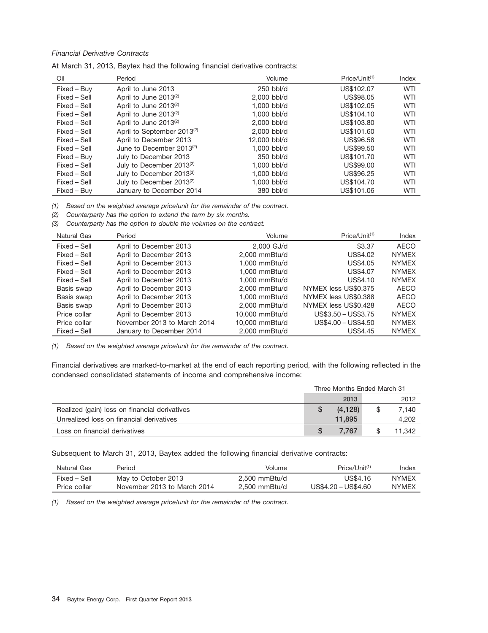#### *Financial Derivative Contracts*

| Oil          | Period                                 | Volume       | Price/Unit <sup>(1)</sup> | Index      |
|--------------|----------------------------------------|--------------|---------------------------|------------|
| Fixed – Buy  | April to June 2013                     | 250 bbl/d    | US\$102.07                | WTI        |
| Fixed - Sell | April to June 2013 <sup>(2)</sup>      | 2.000 bbl/d  | US\$98.05                 | <b>WTI</b> |
| Fixed - Sell | April to June $2013^{(2)}$             | 1.000 bbl/d  | US\$102.05                | WTI        |
| Fixed - Sell | April to June 2013 <sup>(2)</sup>      | 1.000 bbl/d  | US\$104.10                | WTI        |
| Fixed - Sell | April to June $2013^{(2)}$             | 2.000 bbl/d  | US\$103.80                | <b>WTI</b> |
| Fixed – Sell | April to September 2013 <sup>(2)</sup> | 2.000 bbl/d  | US\$101.60                | WTI        |
| Fixed - Sell | April to December 2013                 | 12,000 bbl/d | US\$96.58                 | WTI        |
| Fixed – Sell | June to December 2013 <sup>(2)</sup>   | 1.000 bbl/d  | US\$99.50                 | <b>WTI</b> |
| Fixed - Buy  | July to December 2013                  | 350 bbl/d    | US\$101.70                | WTI        |
| Fixed - Sell | July to December 2013 <sup>(2)</sup>   | 1.000 bbl/d  | US\$99.00                 | <b>WTI</b> |
| Fixed - Sell | July to December 2013 <sup>(3)</sup>   | 1.000 bbl/d  | US\$96.25                 | <b>WTI</b> |
| Fixed - Sell | July to December 2013 <sup>(2)</sup>   | 1.000 bbl/d  | US\$104.70                | <b>WTI</b> |
| Fixed – Buy  | January to December 2014               | 380 bbl/d    | US\$101.06                | <b>WTI</b> |

At March 31, 2013, Baytex had the following financial derivative contracts:

*(1) Based on the weighted average price/unit for the remainder of the contract.*

*(2) Counterparty has the option to extend the term by six months.*

*(3) Counterparty has the option to double the volumes on the contract.*

| <b>Natural Gas</b> | Period                      | Volume         | Price/Unit <sup>(1)</sup> | Index        |
|--------------------|-----------------------------|----------------|---------------------------|--------------|
| Fixed – Sell       | April to December 2013      | 2,000 GJ/d     | \$3.37                    | <b>AECO</b>  |
| Fixed – Sell       | April to December 2013      | 2.000 mmBtu/d  | US\$4.02                  | <b>NYMEX</b> |
| Fixed – Sell       | April to December 2013      | 1.000 mmBtu/d  | US\$4.05                  | <b>NYMEX</b> |
| Fixed - Sell       | April to December 2013      | 1.000 mmBtu/d  | US\$4.07                  | <b>NYMEX</b> |
| Fixed – Sell       | April to December 2013      | 1.000 mmBtu/d  | US\$4.10                  | <b>NYMEX</b> |
| Basis swap         | April to December 2013      | 2.000 mmBtu/d  | NYMEX less US\$0.375      | <b>AECO</b>  |
| Basis swap         | April to December 2013      | 1.000 mmBtu/d  | NYMEX less US\$0.388      | <b>AECO</b>  |
| Basis swap         | April to December 2013      | 2.000 mmBtu/d  | NYMEX less US\$0.428      | <b>AECO</b>  |
| Price collar       | April to December 2013      | 10,000 mmBtu/d | US\$3.50 - US\$3.75       | <b>NYMEX</b> |
| Price collar       | November 2013 to March 2014 | 10,000 mmBtu/d | $US$4.00 - US$4.50$       | <b>NYMEX</b> |
| Fixed – Sell       | January to December 2014    | 2.000 mmBtu/d  | US\$4.45                  | <b>NYMEX</b> |

*(1) Based on the weighted average price/unit for the remainder of the contract.*

Financial derivatives are marked-to-market at the end of each reporting period, with the following reflected in the condensed consolidated statements of income and comprehensive income:

|                                               | Three Months Ended March 31 |         |  |        |
|-----------------------------------------------|-----------------------------|---------|--|--------|
|                                               |                             | 2013    |  | 2012   |
| Realized (gain) loss on financial derivatives |                             | (4.128) |  | 7.140  |
| Unrealized loss on financial derivatives      |                             | 11.895  |  | 4.202  |
| Loss on financial derivatives                 |                             | 7.767   |  | 11.342 |

Subsequent to March 31, 2013, Baytex added the following financial derivative contracts:

| Natural Gas  | Period                      | Volume          | $Price/l$ Jnit $(1)$ | Index        |
|--------------|-----------------------------|-----------------|----------------------|--------------|
| Fixed – Sell | May to October 2013         | $2.500$ mmBtu/d | US\$4.16             | <b>NYMEX</b> |
| Price collar | November 2013 to March 2014 | 2.500 mmBtu/d   | US\$4.20 - US\$4.60  | <b>NYMEX</b> |

*(1) Based on the weighted average price/unit for the remainder of the contract.*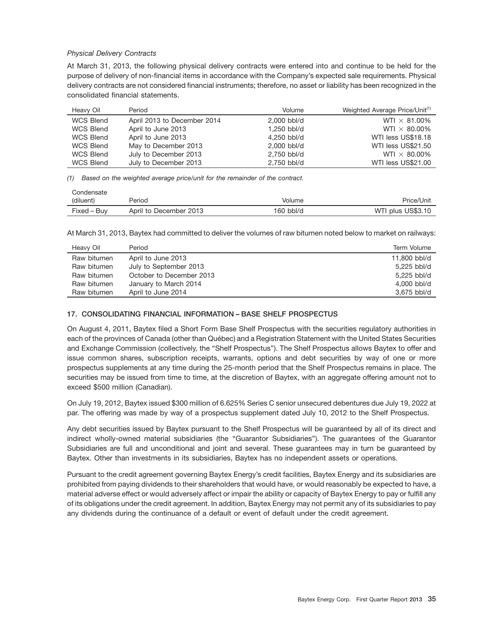#### *Physical Delivery Contracts*

At March 31, 2013, the following physical delivery contracts were entered into and continue to be held for the purpose of delivery of non-financial items in accordance with the Company's expected sale requirements. Physical delivery contracts are not considered financial instruments; therefore, no asset or liability has been recognized in the consolidated financial statements.

| Heavy Oil        | Period                      | Volume      | Weighted Average Price/Unit <sup>(1)</sup> |
|------------------|-----------------------------|-------------|--------------------------------------------|
| <b>WCS Blend</b> | April 2013 to December 2014 | 2,000 bbl/d | WTI $\times$ 81.00%                        |
| <b>WCS Blend</b> | April to June 2013          | 1.250 bbl/d | WTI $\times$ 80.00%                        |
| <b>WCS Blend</b> | April to June 2013          | 4.250 bbl/d | WTI less US\$18.18                         |
| <b>WCS Blend</b> | May to December 2013        | 2,000 bbl/d | WTI less US\$21.50                         |
| WCS Blend        | July to December 2013       | 2,750 bbl/d | WTI $\times$ 80.00%                        |
| <b>WCS Blend</b> | July to December 2013       | 2.750 bbl/d | WTI less US\$21.00                         |

*(1) Based on the weighted average price/unit for the remainder of the contract.*

| Condensate  |                        |             |                   |
|-------------|------------------------|-------------|-------------------|
| (diluent)   | Period                 | Volume      | Price/Unit        |
| Fixed - Buv | April to December 2013 | $160$ bbl/d | WTI plus US\$3.10 |

At March 31, 2013, Baytex had committed to deliver the volumes of raw bitumen noted below to market on railways:

| Heavy Oil   | Period                   | Term Volume  |
|-------------|--------------------------|--------------|
| Raw bitumen | April to June 2013       | 11,800 bbl/d |
| Raw bitumen | July to September 2013   | 5.225 bbl/d  |
| Raw bitumen | October to December 2013 | 5.225 bbl/d  |
| Raw bitumen | January to March 2014    | 4.000 bbl/d  |
| Raw bitumen | April to June 2014       | 3.675 bbl/d  |

#### **17. CONSOLIDATING FINANCIAL INFORMATION – BASE SHELF PROSPECTUS**

On August 4, 2011, Baytex filed a Short Form Base Shelf Prospectus with the securities regulatory authorities in each of the provinces of Canada (other than Québec) and a Registration Statement with the United States Securities and Exchange Commission (collectively, the "Shelf Prospectus"). The Shelf Prospectus allows Baytex to offer and issue common shares, subscription receipts, warrants, options and debt securities by way of one or more prospectus supplements at any time during the 25-month period that the Shelf Prospectus remains in place. The securities may be issued from time to time, at the discretion of Baytex, with an aggregate offering amount not to exceed \$500 million (Canadian).

On July 19, 2012, Baytex issued \$300 million of 6.625% Series C senior unsecured debentures due July 19, 2022 at par. The offering was made by way of a prospectus supplement dated July 10, 2012 to the Shelf Prospectus.

Any debt securities issued by Baytex pursuant to the Shelf Prospectus will be guaranteed by all of its direct and indirect wholly-owned material subsidiaries (the "Guarantor Subsidiaries"). The guarantees of the Guarantor Subsidiaries are full and unconditional and joint and several. These guarantees may in turn be guaranteed by Baytex. Other than investments in its subsidiaries, Baytex has no independent assets or operations.

Pursuant to the credit agreement governing Baytex Energy's credit facilities, Baytex Energy and its subsidiaries are prohibited from paying dividends to their shareholders that would have, or would reasonably be expected to have, a material adverse effect or would adversely affect or impair the ability or capacity of Baytex Energy to pay or fulfill any of its obligations under the credit agreement. In addition, Baytex Energy may not permit any of its subsidiaries to pay any dividends during the continuance of a default or event of default under the credit agreement.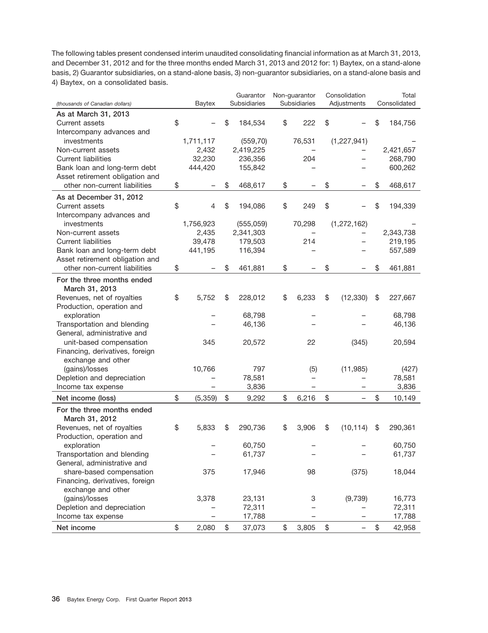The following tables present condensed interim unaudited consolidating financial information as at March 31, 2013, and December 31, 2012 and for the three months ended March 31, 2013 and 2012 for: 1) Baytex, on a stand-alone basis, 2) Guarantor subsidiaries, on a stand-alone basis, 3) non-guarantor subsidiaries, on a stand-alone basis and 4) Baytex, on a consolidated basis.

| (thousands of Canadian dollars) | <b>Baytex</b>  | Guarantor<br>Subsidiaries | Non-guarantor<br><b>Subsidiaries</b> | Consolidation<br>Adjustments | Total<br>Consolidated |
|---------------------------------|----------------|---------------------------|--------------------------------------|------------------------------|-----------------------|
| As at March 31, 2013            |                |                           |                                      |                              |                       |
| <b>Current assets</b>           | \$             | \$<br>184,534             | \$<br>222                            | \$                           | \$<br>184,756         |
| Intercompany advances and       |                |                           |                                      |                              |                       |
| investments                     | 1,711,117      | (559, 70)                 | 76,531                               | (1,227,941)                  |                       |
| Non-current assets              | 2,432          | 2,419,225                 |                                      |                              | 2,421,657             |
| <b>Current liabilities</b>      | 32,230         | 236,356                   | 204                                  |                              | 268,790               |
| Bank loan and long-term debt    | 444,420        | 155,842                   |                                      |                              | 600,262               |
| Asset retirement obligation and |                |                           |                                      |                              |                       |
| other non-current liabilities   | \$             | \$<br>468,617             | \$                                   | \$                           | \$<br>468,617         |
| As at December 31, 2012         |                |                           |                                      |                              |                       |
| Current assets                  | \$<br>4        | \$<br>194,086             | \$<br>249                            | \$                           | \$<br>194,339         |
| Intercompany advances and       |                |                           |                                      |                              |                       |
| investments                     | 1,756,923      | (555,059)                 | 70,298                               | (1, 272, 162)                |                       |
| Non-current assets              | 2,435          | 2,341,303                 |                                      |                              | 2,343,738             |
| <b>Current liabilities</b>      | 39,478         | 179,503                   | 214                                  |                              | 219,195               |
| Bank loan and long-term debt    | 441,195        | 116,394                   |                                      |                              | 557,589               |
| Asset retirement obligation and |                |                           |                                      |                              |                       |
| other non-current liabilities   | \$             | \$<br>461,881             | \$                                   | \$                           | \$<br>461,881         |
| For the three months ended      |                |                           |                                      |                              |                       |
| March 31, 2013                  |                |                           |                                      |                              |                       |
| Revenues, net of royalties      | \$<br>5,752    | \$<br>228,012             | \$<br>6,233                          | \$<br>(12, 330)              | \$<br>227,667         |
| Production, operation and       |                |                           |                                      |                              |                       |
| exploration                     |                | 68,798                    |                                      |                              | 68,798                |
| Transportation and blending     |                | 46,136                    |                                      |                              | 46,136                |
| General, administrative and     |                |                           |                                      |                              |                       |
| unit-based compensation         | 345            | 20,572                    | 22                                   | (345)                        | 20,594                |
| Financing, derivatives, foreign |                |                           |                                      |                              |                       |
| exchange and other              |                |                           |                                      |                              |                       |
| (gains)/losses                  | 10,766         | 797                       | (5)                                  | (11, 985)                    | (427)                 |
| Depletion and depreciation      |                | 78,581                    | —                                    |                              | 78,581                |
| Income tax expense              |                | 3,836                     | $\overline{\phantom{0}}$             |                              | 3,836                 |
| Net income (loss)               | \$<br>(5, 359) | \$<br>9,292               | \$<br>6,216                          | \$                           | \$<br>10,149          |
| For the three months ended      |                |                           |                                      |                              |                       |
| March 31, 2012                  |                |                           |                                      |                              |                       |
| Revenues, net of royalties      | \$<br>5,833    | \$<br>290,736             | \$<br>3,906                          | \$<br>(10, 114)              | \$<br>290,361         |
| Production, operation and       |                |                           |                                      |                              |                       |
| exploration                     |                | 60,750                    |                                      |                              | 60,750                |
| Transportation and blending     |                | 61,737                    |                                      |                              | 61,737                |
| General, administrative and     |                |                           |                                      |                              |                       |
| share-based compensation        | 375            | 17,946                    | 98                                   | (375)                        | 18,044                |
| Financing, derivatives, foreign |                |                           |                                      |                              |                       |
| exchange and other              |                |                           |                                      |                              |                       |
| (gains)/losses                  | 3,378          | 23,131                    | 3                                    | (9,739)                      | 16,773                |
| Depletion and depreciation      |                | 72,311                    |                                      |                              | 72,311                |
| Income tax expense              |                | 17,788                    |                                      |                              | 17,788                |
| Net income                      | \$<br>2,080    | \$<br>37,073              | \$<br>3,805                          | \$                           | \$<br>42,958          |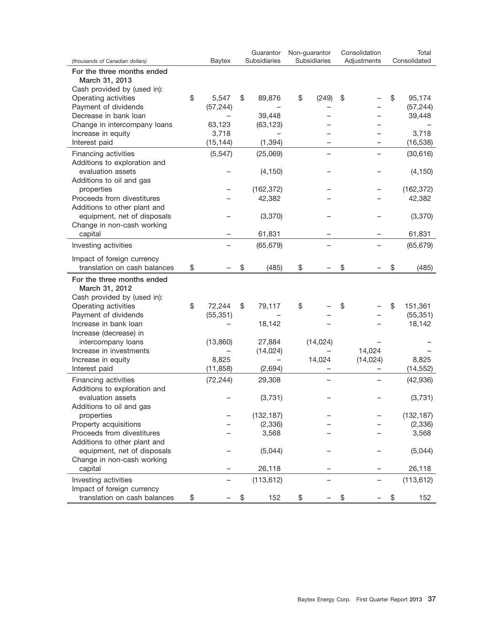|                                 |               | Guarantor    | Non-guarantor | Consolidation | Total         |
|---------------------------------|---------------|--------------|---------------|---------------|---------------|
| (thousands of Canadian dollars) | <b>Baytex</b> | Subsidiaries | Subsidiaries  | Adjustments   | Consolidated  |
| For the three months ended      |               |              |               |               |               |
| March 31, 2013                  |               |              |               |               |               |
| Cash provided by (used in):     |               |              |               |               |               |
| Operating activities            | \$<br>5,547   | \$<br>89,876 | \$<br>(249)   | \$            | \$<br>95,174  |
| Payment of dividends            | (57, 244)     |              |               |               | (57, 244)     |
| Decrease in bank loan           |               | 39,448       |               |               | 39,448        |
| Change in intercompany loans    | 63,123        | (63, 123)    |               |               |               |
| Increase in equity              | 3,718         |              |               |               | 3,718         |
| Interest paid                   | (15, 144)     | (1, 394)     |               |               | (16, 538)     |
| Financing activities            | (5, 547)      | (25,069)     |               |               | (30, 616)     |
| Additions to exploration and    |               |              |               |               |               |
| evaluation assets               |               | (4, 150)     |               |               | (4, 150)      |
| Additions to oil and gas        |               |              |               |               |               |
| properties                      |               | (162, 372)   |               |               | (162, 372)    |
| Proceeds from divestitures      |               | 42,382       |               |               | 42,382        |
| Additions to other plant and    |               |              |               |               |               |
| equipment, net of disposals     |               | (3, 370)     |               |               | (3, 370)      |
| Change in non-cash working      |               |              |               |               |               |
| capital                         |               | 61,831       |               |               | 61,831        |
| Investing activities            |               | (65, 679)    |               |               | (65, 679)     |
| Impact of foreign currency      |               |              |               |               |               |
| translation on cash balances    | \$            | \$<br>(485)  | \$            | \$            | \$<br>(485)   |
| For the three months ended      |               |              |               |               |               |
| March 31, 2012                  |               |              |               |               |               |
| Cash provided by (used in):     |               |              |               |               |               |
| Operating activities            | \$<br>72,244  | \$<br>79,117 | \$            | \$            | \$<br>151,361 |
| Payment of dividends            | (55, 351)     |              |               |               | (55, 351)     |
| Increase in bank loan           |               | 18,142       |               |               | 18,142        |
| Increase (decrease) in          |               |              |               |               |               |
| intercompany loans              | (13,860)      | 27,884       | (14, 024)     |               |               |
| Increase in investments         |               |              |               | 14,024        |               |
|                                 | 8,825         | (14, 024)    |               | (14, 024)     | 8,825         |
| Increase in equity              |               |              | 14,024        |               |               |
| Interest paid                   | (11, 858)     | (2,694)      |               |               | (14, 552)     |
| Financing activities            | (72, 244)     | 29,308       |               |               | (42, 936)     |
| Additions to exploration and    |               |              |               |               |               |
| evaluation assets               |               | (3,731)      |               |               | (3,731)       |
| Additions to oil and gas        |               |              |               |               |               |
| properties                      |               | (132, 187)   |               |               | (132, 187)    |
| Property acquisitions           |               | (2, 336)     |               |               | (2, 336)      |
| Proceeds from divestitures      |               | 3,568        |               |               | 3,568         |
| Additions to other plant and    |               |              |               |               |               |
| equipment, net of disposals     |               | (5,044)      |               |               | (5,044)       |
| Change in non-cash working      |               |              |               |               |               |
| capital                         |               | 26,118       |               |               | 26,118        |
| Investing activities            |               | (113, 612)   |               |               | (113, 612)    |
| Impact of foreign currency      |               |              |               |               |               |
| translation on cash balances    | \$            | \$<br>152    | \$            | \$            | \$<br>152     |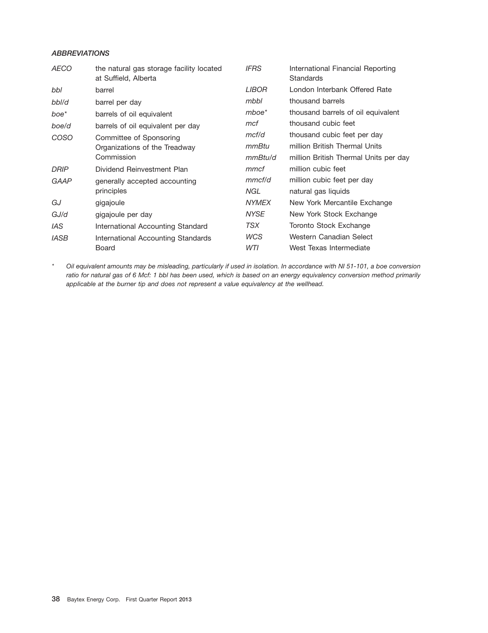### *ABBREVIATIONS*

| AECO             | the natural gas storage facility located<br>at Suffield, Alberta | <b>IFRS</b>  | International Financial Reporting<br><b>Standards</b> |
|------------------|------------------------------------------------------------------|--------------|-------------------------------------------------------|
| bbl              | barrel                                                           | <b>LIBOR</b> | London Interbank Offered Rate                         |
| bbl/d            | barrel per day                                                   | mbbl         | thousand barrels                                      |
| boe <sup>*</sup> | barrels of oil equivalent                                        | $m$ boe $*$  | thousand barrels of oil equivalent                    |
| boe/d            | barrels of oil equivalent per day                                | mcf          | thousand cubic feet                                   |
| COSO             | Committee of Sponsoring                                          | mcf/d        | thousand cubic feet per day                           |
|                  | Organizations of the Treadway                                    | mmBtu        | million British Thermal Units                         |
|                  | Commission                                                       | mmBtu/d      | million British Thermal Units per day                 |
| <b>DRIP</b>      | Dividend Reinvestment Plan                                       | mmcf         | million cubic feet                                    |
| GAAP             | generally accepted accounting                                    | mmcf/d       | million cubic feet per day                            |
|                  | principles                                                       | <b>NGL</b>   | natural gas liquids                                   |
| GJ               | gigajoule                                                        | <b>NYMEX</b> | New York Mercantile Exchange                          |
| GJ/d             | gigajoule per day                                                | <b>NYSE</b>  | New York Stock Exchange                               |
| IAS.             | International Accounting Standard                                | TSX          | Toronto Stock Exchange                                |
| IASB             | International Accounting Standards                               | WCS          | Western Canadian Select                               |
|                  | Board                                                            | WTI          | West Texas Intermediate                               |

*\* Oil equivalent amounts may be misleading, particularly if used in isolation. In accordance with NI 51-101, a boe conversion ratio for natural gas of 6 Mcf: 1 bbl has been used, which is based on an energy equivalency conversion method primarily applicable at the burner tip and does not represent a value equivalency at the wellhead.*